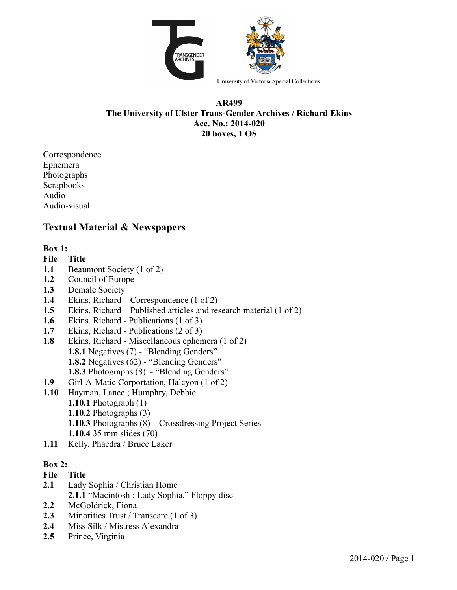

### **AR499 The University of Ulster Trans-Gender Archives / Richard Ekins Acc. No.: 2014-020 20 boxes, 1 OS**

Correspondence Ephemera Photographs **Scrapbooks** Audio Audio-visual

# **Textual Material & Newspapers**

## **Box 1:**

### **File Title**

- **1.1** Beaumont Society (1 of 2)
- **1.2** Council of Europe
- **1.3** Demale Society
- **1.4** Ekins, Richard Correspondence (1 of 2)
- **1.5** Ekins, Richard Published articles and research material (1 of 2)
- **1.6** Ekins, Richard Publications (1 of 3)
- **1.7** Ekins, Richard Publications (2 of 3)
- **1.8** Ekins, Richard Miscellaneous ephemera (1 of 2) **1.8.1** Negatives (7) - "Blending Genders" **1.8.2** Negatives (62) - "Blending Genders" **1.8.3** Photographs (8) - "Blending Genders"
- **1.9** Girl-A-Matic Corportation, Halcyon (1 of 2)
- **1.10** Hayman, Lance ; Humphry, Debbie **1.10.1** Photograph (1) **1.10.2** Photographs (3) **1.10.3** Photographs (8) – Crossdressing Project Series
	- **1.10.4** 35 mm slides (70)
- **1.11** Kelly, Phaedra / Bruce Laker

## **Box 2:**

## **File Title**

- **2.1** Lady Sophia / Christian Home **2.1.1** "Macintosh : Lady Sophia." Floppy disc
- **2.2** McGoldrick, Fiona
- **2.3** Minorities Trust / Transcare (1 of 3)
- **2.4** Miss Silk / Mistress Alexandra
- **2.5** Prince, Virginia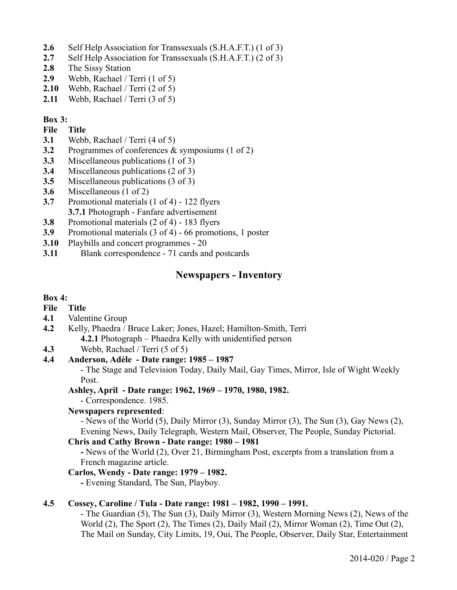- **2.6** Self Help Association for Transsexuals (S.H.A.F.T.) (1 of 3)
- **2.7** Self Help Association for Transsexuals (S.H.A.F.T.) (2 of 3)
- **2.8** The Sissy Station
- **2.9** Webb, Rachael / Terri (1 of 5)
- **2.10** Webb, Rachael / Terri (2 of 5)
- **2.11** Webb, Rachael / Terri (3 of 5)

## **Box 3:**

## **File Title**

- **3.1** Webb, Rachael / Terri (4 of 5)
- **3.2** Programmes of conferences & symposiums (1 of 2)
- **3.3** Miscellaneous publications (1 of 3)
- **3.4** Miscellaneous publications (2 of 3)
- **3.5** Miscellaneous publications (3 of 3)
- **3.6** Miscellaneous (1 of 2)
- **3.7** Promotional materials (1 of 4) 122 flyers **3.7.1** Photograph - Fanfare advertisement
- **3.8** Promotional materials (2 of 4) 183 flyers
- **3.9** Promotional materials (3 of 4) 66 promotions, 1 poster
- **3.10** Playbills and concert programmes 20
- **3.11** Blank correspondence 71 cards and postcards

## **Newspapers - Inventory**

## **Box 4:**

- **File Title**
- **4.1** Valentine Group
- **4.2** Kelly, Phaedra / Bruce Laker; Jones, Hazel; Hamilton-Smith, Terri **4.2.1** Photograph – Phaedra Kelly with unidentified person
- **4.3** Webb, Rachael / Terri (5 of 5)

## **4.4 Anderson, Adèle - Date range: 1985 – 1987**

- The Stage and Television Today, Daily Mail, Gay Times, Mirror, Isle of Wight Weekly Post.

### **Ashley, April - Date range: 1962, 1969 – 1970, 1980, 1982.**

- Correspondence. 1985.

## **Newspapers represented**:

- News of the World (5), Daily Mirror (3), Sunday Mirror (3), The Sun (3), Gay News (2), Evening News, Daily Telegraph, Western Mail, Observer, The People, Sunday Pictorial.

## **Chris and Cathy Brown - Date range: 1980 – 1981**

**-** News of the World (2), Over 21, Birmingham Post, excerpts from a translation from a French magazine article.

## **Carlos, Wendy - Date range: 1979 – 1982.**

**-** Evening Standard, The Sun, Playboy.

## **4.5 Cossey, Caroline / Tula - Date range: 1981 – 1982, 1990 – 1991.**

- The Guardian (5), The Sun (3), Daily Mirror (3), Western Morning News (2), News of the World (2), The Sport (2), The Times (2), Daily Mail (2), Mirror Woman (2), Time Out (2), The Mail on Sunday, City Limits, 19, Oui, The People, Observer, Daily Star, Entertainment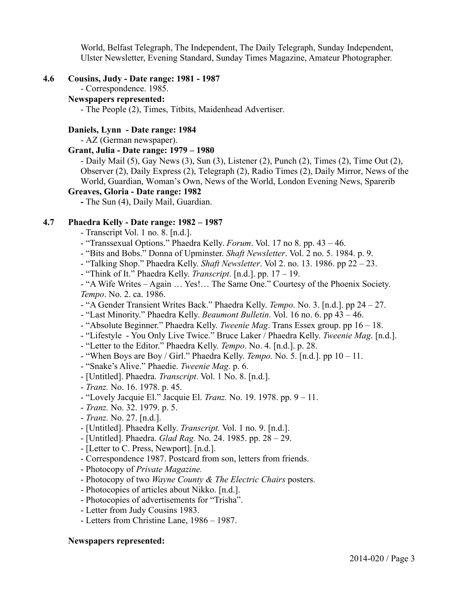World, Belfast Telegraph, The Independent, The Daily Telegraph, Sunday Independent, Ulster Newsletter, Evening Standard, Sunday Times Magazine, Amateur Photographer.

#### **4.6 Cousins, Judy - Date range: 1981 - 1987**

- Correspondence. 1985.

#### **Newspapers represented:**

- The People (2), Times, Titbits, Maidenhead Advertiser.

#### **Daniels, Lynn - Date range: 1984**

- AZ (German newspaper).

#### **Grant, Julia - Date range: 1979 – 1980**

- Daily Mail (5), Gay News (3), Sun (3), Listener (2), Punch (2), Times (2), Time Out (2), Observer (2), Daily Express (2), Telegraph (2), Radio Times (2), Daily Mirror, News of the World, Guardian, Woman's Own, News of the World, London Evening News, Sparerib

### **Greaves, Gloria - Date range: 1982**

**-** The Sun (4), Daily Mail, Guardian.

#### **4.7 Phaedra Kelly - Date range: 1982 – 1987**

- Transcript Vol. 1 no. 8. [n.d.].
- "Transsexual Options." Phaedra Kelly. *Forum*. Vol. 17 no 8. pp. 43 46.
- "Bits and Bobs." Donna of Upminster. *Shaft Newsletter*. Vol. 2 no. 5. 1984. p. 9.
- "Talking Shop." Phaedra Kelly. *Shaft Newsletter*. Vol 2. no. 13. 1986. pp 22 23.
- "Think of It." Phaedra Kelly. *Transcript*. [n.d.]. pp. 17 19.
- "A Wife Writes Again … Yes!… The Same One." Courtesy of the Phoenix Society. *Tempo*. No. 2. ca. 1986.
- "A Gender Transient Writes Back." Phaedra Kelly. *Tempo*. No. 3. [n.d.]. pp 24 27.
- "Last Minority." Phaedra Kelly. *Beaumont Bulletin*. Vol. 16 no. 6. pp 43 46.
- "Absolute Beginner." Phaedra Kelly. *Tweenie Mag*. Trans Essex group. pp 16 18.
- "Lifestyle You Only Live Twice." Bruce Laker / Phaedra Kelly. *Tweenie Mag*. [n.d.].
- "Letter to the Editor." Phaedra Kelly. *Tempo*. No. 4. [n.d.]. p. 28.
- "When Boys are Boy / Girl." Phaedra Kelly. *Tempo.* No. 5. [n.d.]. pp 10 11.
- "Snake's Alive." Phaedie. *Tweenie Mag*. p. 6.
- [Untitled]. Phaedra. *Transcript*. Vol. 1 No. 8. [n.d.].
- *Tranz.* No. 16. 1978. p. 45.
- "Lovely Jacquie El." Jacquie El. *Tranz.* No. 19. 1978. pp. 9 11.
- *Tranz.* No. 32. 1979. p. 5.
- *Tranz.* No. 27. [n.d.].
- [Untitled]. Phaedra Kelly. *Transcript.* Vol. 1 no. 9. [n.d.].
- [Untitled]. Phaedra. *Glad Rag.* No. 24. 1985. pp. 28 29.
- [Letter to C. Press, Newport]. [n.d.].
- Correspondence 1987. Postcard from son, letters from friends.
- Photocopy of *Private Magazine.*
- Photocopy of two *Wayne County & The Electric Chairs* posters.
- Photocopies of articles about Nikko. [n.d.].
- Photocopies of advertisements for "Trisha".
- Letter from Judy Cousins 1983.
- Letters from Christine Lane, 1986 1987.

#### **Newspapers represented:**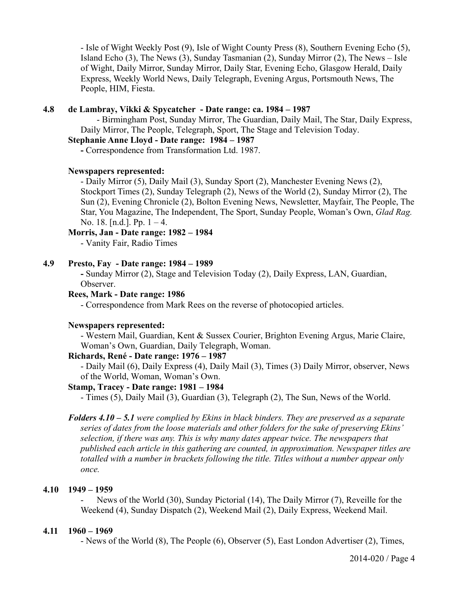- Isle of Wight Weekly Post (9), Isle of Wight County Press (8), Southern Evening Echo (5), Island Echo (3), The News (3), Sunday Tasmanian (2), Sunday Mirror (2), The News – Isle of Wight, Daily Mirror, Sunday Mirror, Daily Star, Evening Echo, Glasgow Herald, Daily Express, Weekly World News, Daily Telegraph, Evening Argus, Portsmouth News, The People, HIM, Fiesta.

#### **4.8 de Lambray, Vikki & Spycatcher - Date range: ca. 1984 – 1987**

- Birmingham Post, Sunday Mirror, The Guardian, Daily Mail, The Star, Daily Express, Daily Mirror, The People, Telegraph, Sport, The Stage and Television Today.

### **Stephanie Anne Lloyd - Date range: 1984 – 1987**

**-** Correspondence from Transformation Ltd. 1987.

#### **Newspapers represented:**

- Daily Mirror (5), Daily Mail (3), Sunday Sport (2), Manchester Evening News (2), Stockport Times (2), Sunday Telegraph (2), News of the World (2), Sunday Mirror (2), The Sun (2), Evening Chronicle (2), Bolton Evening News, Newsletter, Mayfair, The People, The Star, You Magazine, The Independent, The Sport, Sunday People, Woman's Own, *Glad Rag.*  No. 18.  $[n.d.]$ . Pp.  $1 - 4$ .

#### **Morris, Jan - Date range: 1982 – 1984**

- Vanity Fair, Radio Times

#### **4.9 Presto, Fay - Date range: 1984 – 1989**

**-** Sunday Mirror (2), Stage and Television Today (2), Daily Express, LAN, Guardian, Observer.

### **Rees, Mark - Date range: 1986**

- Correspondence from Mark Rees on the reverse of photocopied articles.

#### **Newspapers represented:**

- Western Mail, Guardian, Kent & Sussex Courier, Brighton Evening Argus, Marie Claire, Woman's Own, Guardian, Daily Telegraph, Woman.

### **Richards, René - Date range: 1976 – 1987**

- Daily Mail (6), Daily Express (4), Daily Mail (3), Times (3) Daily Mirror, observer, News of the World, Woman, Woman's Own.

## **Stamp, Tracey - Date range: 1981 – 1984**

- Times (5), Daily Mail (3), Guardian (3), Telegraph (2), The Sun, News of the World.

*Folders 4.10 – 5.1 were complied by Ekins in black binders. They are preserved as a separate series of dates from the loose materials and other folders for the sake of preserving Ekins' selection, if there was any. This is why many dates appear twice. The newspapers that published each article in this gathering are counted, in approximation. Newspaper titles are totalled with a number in brackets following the title. Titles without a number appear only once.*

#### **4.10 1949 – 1959**

- News of the World (30), Sunday Pictorial (14), The Daily Mirror (7), Reveille for the Weekend (4), Sunday Dispatch (2), Weekend Mail (2), Daily Express, Weekend Mail.

### **4.11 1960 – 1969**

- News of the World (8), The People (6), Observer (5), East London Advertiser (2), Times,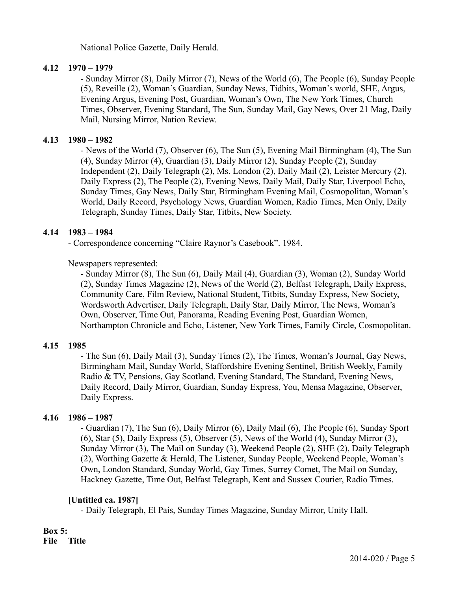National Police Gazette, Daily Herald.

### **4.12 1970 – 1979**

- Sunday Mirror (8), Daily Mirror (7), News of the World (6), The People (6), Sunday People (5), Reveille (2), Woman's Guardian, Sunday News, Tidbits, Woman's world, SHE, Argus, Evening Argus, Evening Post, Guardian, Woman's Own, The New York Times, Church Times, Observer, Evening Standard, The Sun, Sunday Mail, Gay News, Over 21 Mag, Daily Mail, Nursing Mirror, Nation Review.

### **4.13 1980 – 1982**

- News of the World (7), Observer (6), The Sun (5), Evening Mail Birmingham (4), The Sun (4), Sunday Mirror (4), Guardian (3), Daily Mirror (2), Sunday People (2), Sunday Independent (2), Daily Telegraph (2), Ms. London (2), Daily Mail (2), Leister Mercury (2), Daily Express (2), The People (2), Evening News, Daily Mail, Daily Star, Liverpool Echo, Sunday Times, Gay News, Daily Star, Birmingham Evening Mail, Cosmopolitan, Woman's World, Daily Record, Psychology News, Guardian Women, Radio Times, Men Only, Daily Telegraph, Sunday Times, Daily Star, Titbits, New Society.

#### **4.14 1983 – 1984**

- Correspondence concerning "Claire Raynor's Casebook". 1984.

#### Newspapers represented:

- Sunday Mirror (8), The Sun (6), Daily Mail (4), Guardian (3), Woman (2), Sunday World (2), Sunday Times Magazine (2), News of the World (2), Belfast Telegraph, Daily Express, Community Care, Film Review, National Student, Titbits, Sunday Express, New Society, Wordsworth Advertiser, Daily Telegraph, Daily Star, Daily Mirror, The News, Woman's Own, Observer, Time Out, Panorama, Reading Evening Post, Guardian Women, Northampton Chronicle and Echo, Listener, New York Times, Family Circle, Cosmopolitan.

### **4.15 1985**

- The Sun (6), Daily Mail (3), Sunday Times (2), The Times, Woman's Journal, Gay News, Birmingham Mail, Sunday World, Staffordshire Evening Sentinel, British Weekly, Family Radio & TV, Pensions, Gay Scotland, Evening Standard, The Standard, Evening News, Daily Record, Daily Mirror, Guardian, Sunday Express, You, Mensa Magazine, Observer, Daily Express.

### **4.16 1986 – 1987**

- Guardian (7), The Sun (6), Daily Mirror (6), Daily Mail (6), The People (6), Sunday Sport (6), Star (5), Daily Express (5), Observer (5), News of the World (4), Sunday Mirror (3), Sunday Mirror (3), The Mail on Sunday (3), Weekend People (2), SHE (2), Daily Telegraph (2), Worthing Gazette & Herald, The Listener, Sunday People, Weekend People, Woman's Own, London Standard, Sunday World, Gay Times, Surrey Comet, The Mail on Sunday, Hackney Gazette, Time Out, Belfast Telegraph, Kent and Sussex Courier, Radio Times.

### **[Untitled ca. 1987]**

- Daily Telegraph, El País, Sunday Times Magazine, Sunday Mirror, Unity Hall.

**Box 5: File Title**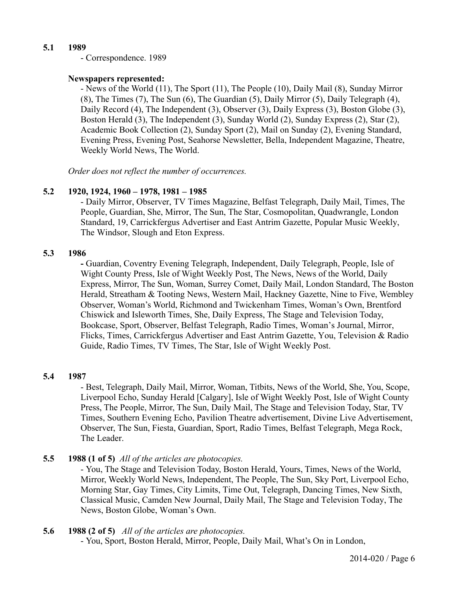#### **5.1 1989**

- Correspondence. 1989

#### **Newspapers represented:**

- News of the World (11), The Sport (11), The People (10), Daily Mail (8), Sunday Mirror (8), The Times (7), The Sun (6), The Guardian (5), Daily Mirror (5), Daily Telegraph (4), Daily Record (4), The Independent (3), Observer (3), Daily Express (3), Boston Globe (3), Boston Herald (3), The Independent (3), Sunday World (2), Sunday Express (2), Star (2), Academic Book Collection (2), Sunday Sport (2), Mail on Sunday (2), Evening Standard, Evening Press, Evening Post, Seahorse Newsletter, Bella, Independent Magazine, Theatre, Weekly World News, The World.

*Order does not reflect the number of occurrences.*

#### **5.2 1920, 1924, 1960 – 1978, 1981 – 1985**

- Daily Mirror, Observer, TV Times Magazine, Belfast Telegraph, Daily Mail, Times, The People, Guardian, She, Mirror, The Sun, The Star, Cosmopolitan, Quadwrangle, London Standard, 19, Carrickfergus Advertiser and East Antrim Gazette, Popular Music Weekly, The Windsor, Slough and Eton Express.

#### **5.3 1986**

**-** Guardian, Coventry Evening Telegraph, Independent, Daily Telegraph, People, Isle of Wight County Press, Isle of Wight Weekly Post, The News, News of the World, Daily Express, Mirror, The Sun, Woman, Surrey Comet, Daily Mail, London Standard, The Boston Herald, Streatham & Tooting News, Western Mail, Hackney Gazette, Nine to Five, Wembley Observer, Woman's World, Richmond and Twickenham Times, Woman's Own, Brentford Chiswick and Isleworth Times, She, Daily Express, The Stage and Television Today, Bookcase, Sport, Observer, Belfast Telegraph, Radio Times, Woman's Journal, Mirror, Flicks, Times, Carrickfergus Advertiser and East Antrim Gazette, You, Television & Radio Guide, Radio Times, TV Times, The Star, Isle of Wight Weekly Post.

#### **5.4 1987**

- Best, Telegraph, Daily Mail, Mirror, Woman, Titbits, News of the World, She, You, Scope, Liverpool Echo, Sunday Herald [Calgary], Isle of Wight Weekly Post, Isle of Wight County Press, The People, Mirror, The Sun, Daily Mail, The Stage and Television Today, Star, TV Times, Southern Evening Echo, Pavilion Theatre advertisement, Divine Live Advertisement, Observer, The Sun, Fiesta, Guardian, Sport, Radio Times, Belfast Telegraph, Mega Rock, The Leader.

#### **5.5 1988 (1 of 5)** *All of the articles are photocopies.*

- You, The Stage and Television Today, Boston Herald, Yours, Times, News of the World, Mirror, Weekly World News, Independent, The People, The Sun, Sky Port, Liverpool Echo, Morning Star, Gay Times, City Limits, Time Out, Telegraph, Dancing Times, New Sixth, Classical Music, Camden New Journal, Daily Mail, The Stage and Television Today, The News, Boston Globe, Woman's Own.

#### **5.6 1988 (2 of 5)** *All of the articles are photocopies.*

- You, Sport, Boston Herald, Mirror, People, Daily Mail, What's On in London,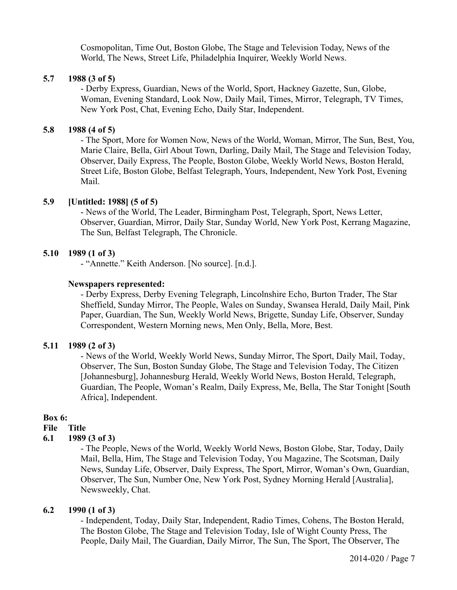Cosmopolitan, Time Out, Boston Globe, The Stage and Television Today, News of the World, The News, Street Life, Philadelphia Inquirer, Weekly World News.

## **5.7 1988 (3 of 5)**

- Derby Express, Guardian, News of the World, Sport, Hackney Gazette, Sun, Globe, Woman, Evening Standard, Look Now, Daily Mail, Times, Mirror, Telegraph, TV Times, New York Post, Chat, Evening Echo, Daily Star, Independent.

#### **5.8 1988 (4 of 5)**

- The Sport, More for Women Now, News of the World, Woman, Mirror, The Sun, Best, You, Marie Claire, Bella, Girl About Town, Darling, Daily Mail, The Stage and Television Today, Observer, Daily Express, The People, Boston Globe, Weekly World News, Boston Herald, Street Life, Boston Globe, Belfast Telegraph, Yours, Independent, New York Post, Evening Mail.

#### **5.9 [Untitled: 1988] (5 of 5)**

- News of the World, The Leader, Birmingham Post, Telegraph, Sport, News Letter, Observer, Guardian, Mirror, Daily Star, Sunday World, New York Post, Kerrang Magazine, The Sun, Belfast Telegraph, The Chronicle.

#### **5.10 1989 (1 of 3)**

- "Annette." Keith Anderson. [No source]. [n.d.].

#### **Newspapers represented:**

- Derby Express, Derby Evening Telegraph, Lincolnshire Echo, Burton Trader, The Star Sheffield, Sunday Mirror, The People, Wales on Sunday, Swansea Herald, Daily Mail, Pink Paper, Guardian, The Sun, Weekly World News, Brigette, Sunday Life, Observer, Sunday Correspondent, Western Morning news, Men Only, Bella, More, Best.

### **5.11 1989 (2 of 3)**

- News of the World, Weekly World News, Sunday Mirror, The Sport, Daily Mail, Today, Observer, The Sun, Boston Sunday Globe, The Stage and Television Today, The Citizen [Johannesburg], Johannesburg Herald, Weekly World News, Boston Herald, Telegraph, Guardian, The People, Woman's Realm, Daily Express, Me, Bella, The Star Tonight [South Africa], Independent.

### **Box 6:**

#### **File Title**

### **6.1 1989 (3 of 3)**

- The People, News of the World, Weekly World News, Boston Globe, Star, Today, Daily Mail, Bella, Him, The Stage and Television Today, You Magazine, The Scotsman, Daily News, Sunday Life, Observer, Daily Express, The Sport, Mirror, Woman's Own, Guardian, Observer, The Sun, Number One, New York Post, Sydney Morning Herald [Australia], Newsweekly, Chat.

#### **6.2 1990 (1 of 3)**

- Independent, Today, Daily Star, Independent, Radio Times, Cohens, The Boston Herald, The Boston Globe, The Stage and Television Today, Isle of Wight County Press, The People, Daily Mail, The Guardian, Daily Mirror, The Sun, The Sport, The Observer, The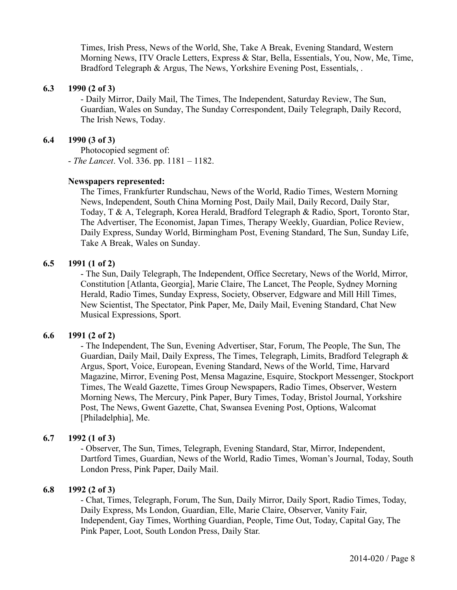Times, Irish Press, News of the World, She, Take A Break, Evening Standard, Western Morning News, ITV Oracle Letters, Express & Star, Bella, Essentials, You, Now, Me, Time, Bradford Telegraph & Argus, The News, Yorkshire Evening Post, Essentials, .

#### **6.3 1990 (2 of 3)**

- Daily Mirror, Daily Mail, The Times, The Independent, Saturday Review, The Sun, Guardian, Wales on Sunday, The Sunday Correspondent, Daily Telegraph, Daily Record, The Irish News, Today.

#### **6.4 1990 (3 of 3)**

Photocopied segment of: - *The Lancet*. Vol. 336. pp. 1181 – 1182.

#### **Newspapers represented:**

The Times, Frankfurter Rundschau, News of the World, Radio Times, Western Morning News, Independent, South China Morning Post, Daily Mail, Daily Record, Daily Star, Today, T & A, Telegraph, Korea Herald, Bradford Telegraph & Radio, Sport, Toronto Star, The Advertiser, The Economist, Japan Times, Therapy Weekly, Guardian, Police Review, Daily Express, Sunday World, Birmingham Post, Evening Standard, The Sun, Sunday Life, Take A Break, Wales on Sunday.

#### **6.5 1991 (1 of 2)**

- The Sun, Daily Telegraph, The Independent, Office Secretary, News of the World, Mirror, Constitution [Atlanta, Georgia], Marie Claire, The Lancet, The People, Sydney Morning Herald, Radio Times, Sunday Express, Society, Observer, Edgware and Mill Hill Times, New Scientist, The Spectator, Pink Paper, Me, Daily Mail, Evening Standard, Chat New Musical Expressions, Sport.

#### **6.6 1991 (2 of 2)**

- The Independent, The Sun, Evening Advertiser, Star, Forum, The People, The Sun, The Guardian, Daily Mail, Daily Express, The Times, Telegraph, Limits, Bradford Telegraph & Argus, Sport, Voice, European, Evening Standard, News of the World, Time, Harvard Magazine, Mirror, Evening Post, Mensa Magazine, Esquire, Stockport Messenger, Stockport Times, The Weald Gazette, Times Group Newspapers, Radio Times, Observer, Western Morning News, The Mercury, Pink Paper, Bury Times, Today, Bristol Journal, Yorkshire Post, The News, Gwent Gazette, Chat, Swansea Evening Post, Options, Walcomat [Philadelphia], Me.

#### **6.7 1992 (1 of 3)**

 - Observer, The Sun, Times, Telegraph, Evening Standard, Star, Mirror, Independent, Dartford Times, Guardian, News of the World, Radio Times, Woman's Journal, Today, South London Press, Pink Paper, Daily Mail.

#### **6.8 1992 (2 of 3)**

- Chat, Times, Telegraph, Forum, The Sun, Daily Mirror, Daily Sport, Radio Times, Today, Daily Express, Ms London, Guardian, Elle, Marie Claire, Observer, Vanity Fair, Independent, Gay Times, Worthing Guardian, People, Time Out, Today, Capital Gay, The Pink Paper, Loot, South London Press, Daily Star.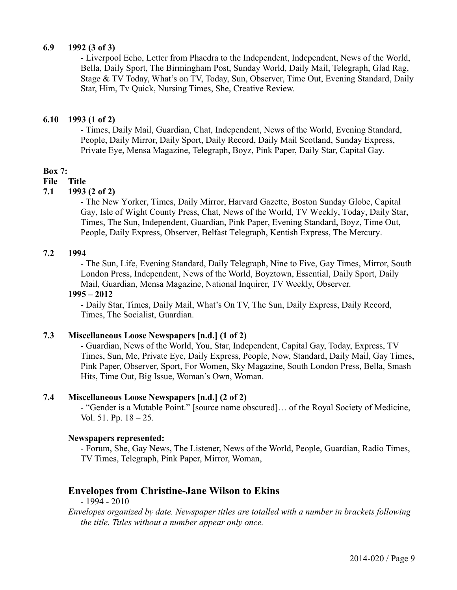### **6.9 1992 (3 of 3)**

- Liverpool Echo, Letter from Phaedra to the Independent, Independent, News of the World, Bella, Daily Sport, The Birmingham Post, Sunday World, Daily Mail, Telegraph, Glad Rag, Stage & TV Today, What's on TV, Today, Sun, Observer, Time Out, Evening Standard, Daily Star, Him, Tv Quick, Nursing Times, She, Creative Review.

#### **6.10 1993 (1 of 2)**

- Times, Daily Mail, Guardian, Chat, Independent, News of the World, Evening Standard, People, Daily Mirror, Daily Sport, Daily Record, Daily Mail Scotland, Sunday Express, Private Eye, Mensa Magazine, Telegraph, Boyz, Pink Paper, Daily Star, Capital Gay.

#### **Box 7:**

**File Title**

#### **7.1 1993 (2 of 2)**

- The New Yorker, Times, Daily Mirror, Harvard Gazette, Boston Sunday Globe, Capital Gay, Isle of Wight County Press, Chat, News of the World, TV Weekly, Today, Daily Star, Times, The Sun, Independent, Guardian, Pink Paper, Evening Standard, Boyz, Time Out, People, Daily Express, Observer, Belfast Telegraph, Kentish Express, The Mercury.

#### **7.2 1994**

- The Sun, Life, Evening Standard, Daily Telegraph, Nine to Five, Gay Times, Mirror, South London Press, Independent, News of the World, Boyztown, Essential, Daily Sport, Daily Mail, Guardian, Mensa Magazine, National Inquirer, TV Weekly, Observer.

#### **1995 – 2012**

- Daily Star, Times, Daily Mail, What's On TV, The Sun, Daily Express, Daily Record, Times, The Socialist, Guardian.

### **7.3 Miscellaneous Loose Newspapers [n.d.] (1 of 2)**

- Guardian, News of the World, You, Star, Independent, Capital Gay, Today, Express, TV Times, Sun, Me, Private Eye, Daily Express, People, Now, Standard, Daily Mail, Gay Times, Pink Paper, Observer, Sport, For Women, Sky Magazine, South London Press, Bella, Smash Hits, Time Out, Big Issue, Woman's Own, Woman.

#### **7.4 Miscellaneous Loose Newspapers [n.d.] (2 of 2)**

- "Gender is a Mutable Point." [source name obscured]… of the Royal Society of Medicine, Vol. 51. Pp. 18 – 25.

#### **Newspapers represented:**

- Forum, She, Gay News, The Listener, News of the World, People, Guardian, Radio Times, TV Times, Telegraph, Pink Paper, Mirror, Woman,

### **Envelopes from Christine-Jane Wilson to Ekins**

 $-1994 - 2010$ 

*Envelopes organized by date. Newspaper titles are totalled with a number in brackets following the title. Titles without a number appear only once.*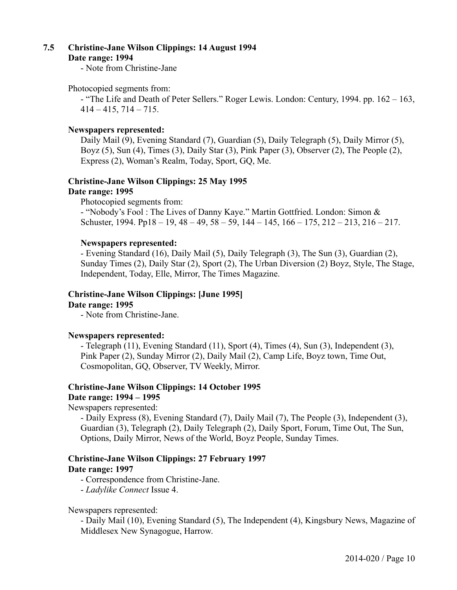## **7.5 Christine-Jane Wilson Clippings: 14 August 1994**

#### **Date range: 1994**

- Note from Christine-Jane

#### Photocopied segments from:

- "The Life and Death of Peter Sellers." Roger Lewis. London: Century, 1994. pp. 162 – 163,  $414 - 415$ ,  $714 - 715$ .

## **Newspapers represented:**

Daily Mail (9), Evening Standard (7), Guardian (5), Daily Telegraph (5), Daily Mirror (5), Boyz (5), Sun (4), Times (3), Daily Star (3), Pink Paper (3), Observer (2), The People (2), Express (2), Woman's Realm, Today, Sport, GQ, Me.

### **Christine-Jane Wilson Clippings: 25 May 1995 Date range: 1995**

Photocopied segments from:

- "Nobody's Fool : The Lives of Danny Kaye." Martin Gottfried. London: Simon & Schuster, 1994. Pp18 – 19, 48 – 49, 58 – 59, 144 – 145, 166 – 175, 212 – 213, 216 – 217.

### **Newspapers represented:**

- Evening Standard (16), Daily Mail (5), Daily Telegraph (3), The Sun (3), Guardian (2), Sunday Times (2), Daily Star (2), Sport (2), The Urban Diversion (2) Boyz, Style, The Stage, Independent, Today, Elle, Mirror, The Times Magazine.

## **Christine-Jane Wilson Clippings: [June 1995]**

### **Date range: 1995**

- Note from Christine-Jane.

### **Newspapers represented:**

- Telegraph (11), Evening Standard (11), Sport (4), Times (4), Sun (3), Independent (3), Pink Paper (2), Sunday Mirror (2), Daily Mail (2), Camp Life, Boyz town, Time Out, Cosmopolitan, GQ, Observer, TV Weekly, Mirror.

#### **Christine-Jane Wilson Clippings: 14 October 1995 Date range: 1994 – 1995**

Newspapers represented:

- Daily Express (8), Evening Standard (7), Daily Mail (7), The People (3), Independent (3), Guardian (3), Telegraph (2), Daily Telegraph (2), Daily Sport, Forum, Time Out, The Sun, Options, Daily Mirror, News of the World, Boyz People, Sunday Times.

### **Christine-Jane Wilson Clippings: 27 February 1997**

### **Date range: 1997**

- Correspondence from Christine-Jane.
- *Ladylike Connect* Issue 4.

### Newspapers represented:

- Daily Mail (10), Evening Standard (5), The Independent (4), Kingsbury News, Magazine of Middlesex New Synagogue, Harrow.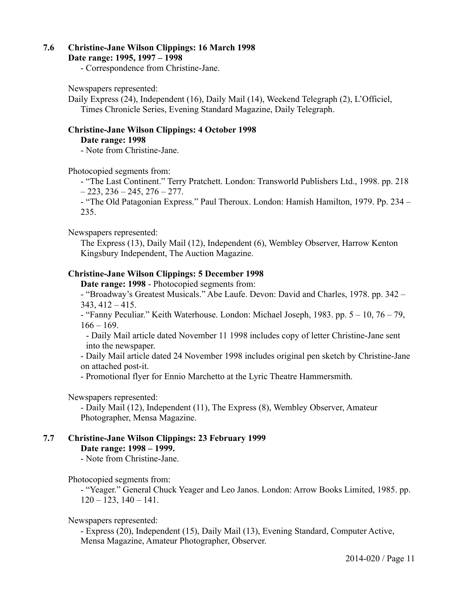# **7.6 Christine-Jane Wilson Clippings: 16 March 1998**

#### **Date range: 1995, 1997 – 1998**

- Correspondence from Christine-Jane.

Newspapers represented:

Daily Express (24), Independent (16), Daily Mail (14), Weekend Telegraph (2), L'Officiel, Times Chronicle Series, Evening Standard Magazine, Daily Telegraph.

## **Christine-Jane Wilson Clippings: 4 October 1998**

### **Date range: 1998**

- Note from Christine-Jane.

Photocopied segments from:

- "The Last Continent." Terry Pratchett. London: Transworld Publishers Ltd., 1998. pp. 218  $-223, 236 - 245, 276 - 277.$ 

- "The Old Patagonian Express." Paul Theroux. London: Hamish Hamilton, 1979. Pp. 234 – 235.

Newspapers represented:

The Express (13), Daily Mail (12), Independent (6), Wembley Observer, Harrow Kenton Kingsbury Independent, The Auction Magazine.

## **Christine-Jane Wilson Clippings: 5 December 1998**

**Date range: 1998** - Photocopied segments from:

- "Broadway's Greatest Musicals." Abe Laufe. Devon: David and Charles, 1978. pp. 342 –  $343, 412 - 415.$ 

- "Fanny Peculiar." Keith Waterhouse. London: Michael Joseph, 1983. pp. 5 – 10, 76 – 79,  $166 - 169$ .

- Daily Mail article dated November 11 1998 includes copy of letter Christine-Jane sent into the newspaper.

- Daily Mail article dated 24 November 1998 includes original pen sketch by Christine-Jane on attached post-it.

- Promotional flyer for Ennio Marchetto at the Lyric Theatre Hammersmith.

### Newspapers represented:

- Daily Mail (12), Independent (11), The Express (8), Wembley Observer, Amateur Photographer, Mensa Magazine.

#### **7.7 Christine-Jane Wilson Clippings: 23 February 1999 Date range: 1998 – 1999.**

- Note from Christine-Jane.

Photocopied segments from:

- "Yeager." General Chuck Yeager and Leo Janos. London: Arrow Books Limited, 1985. pp.  $120 - 123$ ,  $140 - 141$ .

Newspapers represented:

- Express (20), Independent (15), Daily Mail (13), Evening Standard, Computer Active, Mensa Magazine, Amateur Photographer, Observer.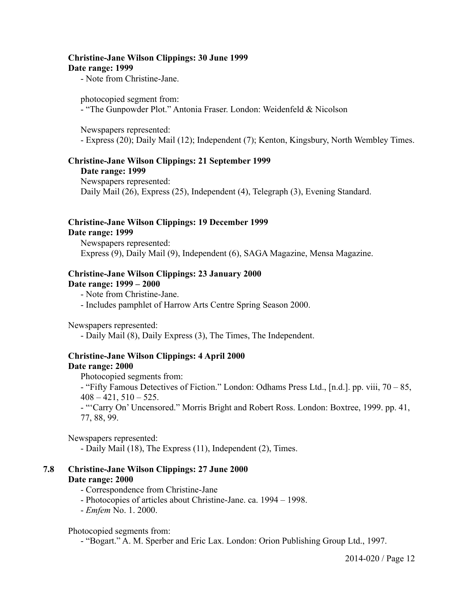# **Christine-Jane Wilson Clippings: 30 June 1999**

**Date range: 1999**

- Note from Christine-Jane.

#### photocopied segment from:

- "The Gunpowder Plot." Antonia Fraser. London: Weidenfeld & Nicolson

Newspapers represented:

- Express (20); Daily Mail (12); Independent (7); Kenton, Kingsbury, North Wembley Times.

## **Christine-Jane Wilson Clippings: 21 September 1999**

**Date range: 1999**

Newspapers represented: Daily Mail (26), Express (25), Independent (4), Telegraph (3), Evening Standard.

## **Christine-Jane Wilson Clippings: 19 December 1999**

#### **Date range: 1999**

Newspapers represented: Express (9), Daily Mail (9), Independent (6), SAGA Magazine, Mensa Magazine.

## **Christine-Jane Wilson Clippings: 23 January 2000**

#### **Date range: 1999 – 2000**

- Note from Christine-Jane.

- Includes pamphlet of Harrow Arts Centre Spring Season 2000.

Newspapers represented:

- Daily Mail (8), Daily Express (3), The Times, The Independent.

# **Christine-Jane Wilson Clippings: 4 April 2000**

## **Date range: 2000**

Photocopied segments from:

- "Fifty Famous Detectives of Fiction." London: Odhams Press Ltd., [n.d.]. pp. viii, 70 – 85,  $408 - 421, 510 - 525.$ 

- "'Carry On' Uncensored." Morris Bright and Robert Ross. London: Boxtree, 1999. pp. 41, 77, 88, 99.

Newspapers represented:

- Daily Mail (18), The Express (11), Independent (2), Times.

## **7.8 Christine-Jane Wilson Clippings: 27 June 2000 Date range: 2000**

- Correspondence from Christine-Jane

- Photocopies of articles about Christine-Jane. ca. 1994 1998.
- *Emfem* No. 1. 2000.

Photocopied segments from:

- "Bogart." A. M. Sperber and Eric Lax. London: Orion Publishing Group Ltd., 1997.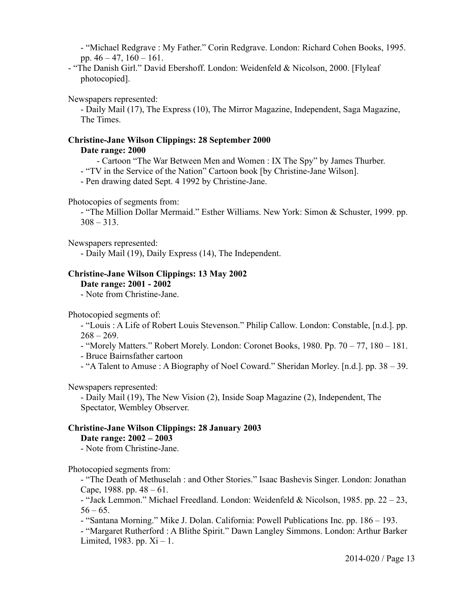- "Michael Redgrave : My Father." Corin Redgrave. London: Richard Cohen Books, 1995. pp.  $46 - 47$ ,  $160 - 161$ .

- "The Danish Girl." David Ebershoff. London: Weidenfeld & Nicolson, 2000. [Flyleaf photocopied].

Newspapers represented:

- Daily Mail (17), The Express (10), The Mirror Magazine, Independent, Saga Magazine, The Times.

# **Christine-Jane Wilson Clippings: 28 September 2000**

## **Date range: 2000**

- Cartoon "The War Between Men and Women : IX The Spy" by James Thurber.

- "TV in the Service of the Nation" Cartoon book [by Christine-Jane Wilson].

- Pen drawing dated Sept. 4 1992 by Christine-Jane.

### Photocopies of segments from:

- "The Million Dollar Mermaid." Esther Williams. New York: Simon & Schuster, 1999. pp.  $308 - 313$ .

Newspapers represented:

- Daily Mail (19), Daily Express (14), The Independent.

## **Christine-Jane Wilson Clippings: 13 May 2002**

## **Date range: 2001 - 2002**

- Note from Christine-Jane.

## Photocopied segments of:

- "Louis : A Life of Robert Louis Stevenson." Philip Callow. London: Constable, [n.d.]. pp.  $268 - 269$ .

- "Morely Matters." Robert Morely. London: Coronet Books, 1980. Pp. 70 – 77, 180 – 181.

- Bruce Bairnsfather cartoon

- "A Talent to Amuse : A Biography of Noel Coward." Sheridan Morley. [n.d.]. pp. 38 – 39.

Newspapers represented:

- Daily Mail (19), The New Vision (2), Inside Soap Magazine (2), Independent, The Spectator, Wembley Observer.

## **Christine-Jane Wilson Clippings: 28 January 2003**

## **Date range: 2002 – 2003**

- Note from Christine-Jane.

## Photocopied segments from:

- "The Death of Methuselah : and Other Stories." Isaac Bashevis Singer. London: Jonathan Cape, 1988. pp.  $48 - 61$ .

- "Jack Lemmon." Michael Freedland. London: Weidenfeld & Nicolson, 1985. pp. 22 – 23,  $56 - 65$ .

- "Santana Morning." Mike J. Dolan. California: Powell Publications Inc. pp. 186 – 193.

- "Margaret Rutherford : A Blithe Spirit." Dawn Langley Simmons. London: Arthur Barker Limited, 1983. pp.  $Xi - 1$ .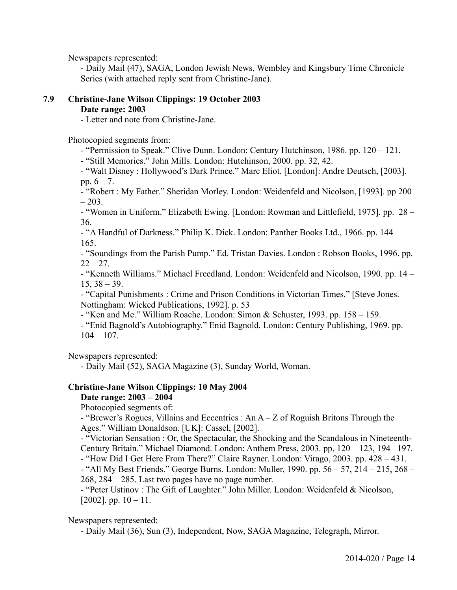Newspapers represented:

- Daily Mail (47), SAGA, London Jewish News, Wembley and Kingsbury Time Chronicle Series (with attached reply sent from Christine-Jane).

## **7.9 Christine-Jane Wilson Clippings: 19 October 2003**

#### **Date range: 2003**

- Letter and note from Christine-Jane.

Photocopied segments from:

- "Permission to Speak." Clive Dunn. London: Century Hutchinson, 1986. pp. 120 – 121.

- "Still Memories." John Mills. London: Hutchinson, 2000. pp. 32, 42.

- "Walt Disney : Hollywood's Dark Prince." Marc Eliot. [London]: Andre Deutsch, [2003]. pp.  $6 - 7$ .

- "Robert : My Father." Sheridan Morley. London: Weidenfeld and Nicolson, [1993]. pp 200  $-203.$ 

- "Women in Uniform." Elizabeth Ewing. [London: Rowman and Littlefield, 1975]. pp. 28 – 36.

- "A Handful of Darkness." Philip K. Dick. London: Panther Books Ltd., 1966. pp. 144 – 165.

- "Soundings from the Parish Pump." Ed. Tristan Davies. London : Robson Books, 1996. pp.  $22 - 27$ 

- "Kenneth Williams." Michael Freedland. London: Weidenfeld and Nicolson, 1990. pp. 14 –  $15, 38 - 39.$ 

- "Capital Punishments : Crime and Prison Conditions in Victorian Times." [Steve Jones. Nottingham: Wicked Publications, 1992]. p. 53

- "Ken and Me." William Roache. London: Simon & Schuster, 1993. pp. 158 – 159.

- "Enid Bagnold's Autobiography." Enid Bagnold. London: Century Publishing, 1969. pp.  $104 - 107$ .

Newspapers represented:

- Daily Mail (52), SAGA Magazine (3), Sunday World, Woman.

# **Christine-Jane Wilson Clippings: 10 May 2004**

**Date range: 2003 – 2004**

Photocopied segments of:

- "Brewer's Rogues, Villains and Eccentrics : An A – Z of Roguish Britons Through the Ages." William Donaldson. [UK]: Cassel, [2002].

- "Victorian Sensation : Or, the Spectacular, the Shocking and the Scandalous in Nineteenth-Century Britain." Michael Diamond. London: Anthem Press, 2003. pp. 120 – 123, 194 –197.

- "How Did I Get Here From There?" Claire Rayner. London: Virago, 2003. pp. 428 – 431. - "All My Best Friends." George Burns. London: Muller, 1990. pp. 56 – 57, 214 – 215, 268 –

268, 284 – 285. Last two pages have no page number.

- "Peter Ustinov : The Gift of Laughter." John Miller. London: Weidenfeld & Nicolson, [ $2002$ ]. pp.  $10 - 11$ .

### Newspapers represented:

- Daily Mail (36), Sun (3), Independent, Now, SAGA Magazine, Telegraph, Mirror.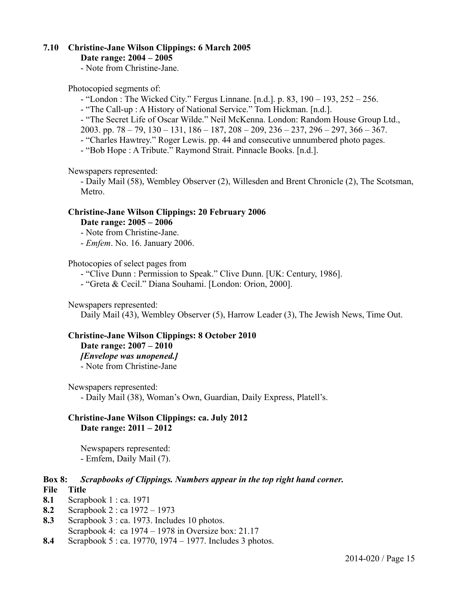# **7.10 Christine-Jane Wilson Clippings: 6 March 2005**

**Date range: 2004 – 2005**

- Note from Christine-Jane.

### Photocopied segments of:

- "London : The Wicked City." Fergus Linnane. [n.d.]. p. 83, 190 193, 252 256.
- "The Call-up : A History of National Service." Tom Hickman. [n.d.].

- "The Secret Life of Oscar Wilde." Neil McKenna. London: Random House Group Ltd.,

- 2003. pp. 78 79, 130 131, 186 187, 208 209, 236 237, 296 297, 366 367.
- "Charles Hawtrey." Roger Lewis. pp. 44 and consecutive unnumbered photo pages.
- "Bob Hope : A Tribute." Raymond Strait. Pinnacle Books. [n.d.].

Newspapers represented:

- Daily Mail (58), Wembley Observer (2), Willesden and Brent Chronicle (2), The Scotsman, Metro.

### **Christine-Jane Wilson Clippings: 20 February 2006 Date range: 2005 – 2006**

- Note from Christine-Jane.
- *Emfem*. No. 16. January 2006.

Photocopies of select pages from

- "Clive Dunn : Permission to Speak." Clive Dunn. [UK: Century, 1986].

- "Greta & Cecil." Diana Souhami. [London: Orion, 2000].

Newspapers represented:

Daily Mail (43), Wembley Observer (5), Harrow Leader (3), The Jewish News, Time Out.

### **Christine-Jane Wilson Clippings: 8 October 2010**

#### **Date range: 2007 – 2010**

*[Envelope was unopened.]*

- Note from Christine-Jane

Newspapers represented:

- Daily Mail (38), Woman's Own, Guardian, Daily Express, Platell's.

### **Christine-Jane Wilson Clippings: ca. July 2012 Date range: 2011 – 2012**

Newspapers represented: - Emfem, Daily Mail (7).

## **Box 8:** *Scrapbooks of Clippings. Numbers appear in the top right hand corner.*

### **File Title**

- **8.1** Scrapbook 1 : ca. 1971
- **8.2** Scrapbook 2 : ca 1972 1973
- **8.3** Scrapbook 3 : ca. 1973. Includes 10 photos.
- Scrapbook 4: ca 1974 1978 in Oversize box: 21.17
- **8.4** Scrapbook 5 : ca. 19770, 1974 1977. Includes 3 photos.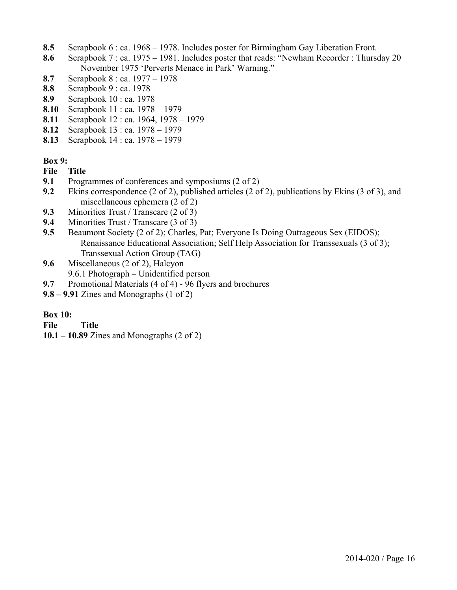- **8.5** Scrapbook 6 : ca. 1968 1978. Includes poster for Birmingham Gay Liberation Front.
- **8.6** Scrapbook 7 : ca. 1975 1981. Includes poster that reads: "Newham Recorder : Thursday 20 November 1975 'Perverts Menace in Park' Warning."
- **8.7** Scrapbook 8 : ca. 1977 1978
- **8.8** Scrapbook 9 : ca. 1978
- **8.9** Scrapbook 10 : ca. 1978
- **8.10** Scrapbook 11 : ca. 1978 1979
- **8.11** Scrapbook 12 : ca. 1964, 1978 1979
- **8.12** Scrapbook 13 : ca. 1978 1979
- **8.13** Scrapbook 14 : ca. 1978 1979

### **Box 9:**

- **File Title**
- **9.1** Programmes of conferences and symposiums (2 of 2)
- **9.2** Ekins correspondence (2 of 2), published articles (2 of 2), publications by Ekins (3 of 3), and miscellaneous ephemera (2 of 2)
- **9.3** Minorities Trust / Transcare (2 of 3)
- **9.4** Minorities Trust / Transcare (3 of 3)
- **9.5** Beaumont Society (2 of 2); Charles, Pat; Everyone Is Doing Outrageous Sex (EIDOS); Renaissance Educational Association; Self Help Association for Transsexuals (3 of 3); Transsexual Action Group (TAG)
- **9.6** Miscellaneous (2 of 2), Halcyon 9.6.1 Photograph – Unidentified person
- **9.7** Promotional Materials (4 of 4) 96 flyers and brochures
- **9.8 – 9.91** Zines and Monographs (1 of 2)
- **Box 10:**
- **File Title**
- **10.1 – 10.89** Zines and Monographs (2 of 2)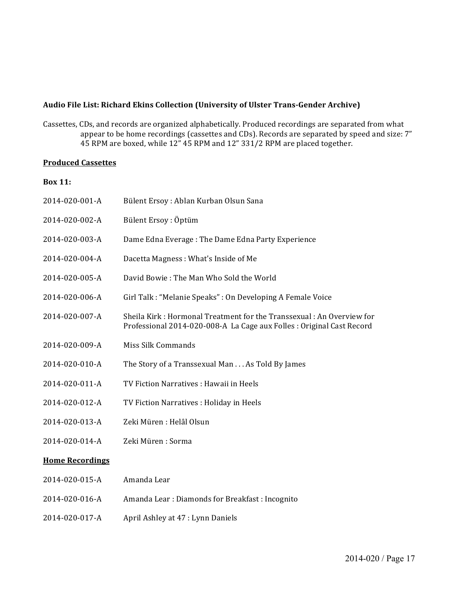#### Audio File List: Richard Ekins Collection (University of Ulster Trans-Gender Archive)

Cassettes, CDs, and records are organized alphabetically. Produced recordings are separated from what appear to be home recordings (cassettes and CDs). Records are separated by speed and size: 7" 45 RPM are boxed, while 12" 45 RPM and 12" 331/2 RPM are placed together.

#### **Produced Cassettes**

#### **Box 11:**

| 2014-020-001-A         | Bülent Ersoy: Ablan Kurban Olsun Sana                                                                                                         |
|------------------------|-----------------------------------------------------------------------------------------------------------------------------------------------|
| 2014-020-002-A         | Bülent Ersoy: Öptüm                                                                                                                           |
| 2014-020-003-A         | Dame Edna Everage: The Dame Edna Party Experience                                                                                             |
| 2014-020-004-A         | Dacetta Magness: What's Inside of Me                                                                                                          |
| 2014-020-005-A         | David Bowie: The Man Who Sold the World                                                                                                       |
| 2014-020-006-A         | Girl Talk: "Melanie Speaks": On Developing A Female Voice                                                                                     |
| 2014-020-007-A         | Sheila Kirk: Hormonal Treatment for the Transsexual: An Overview for<br>Professional 2014-020-008-A La Cage aux Folles : Original Cast Record |
| 2014-020-009-A         | Miss Silk Commands                                                                                                                            |
| 2014-020-010-A         | The Story of a Transsexual Man As Told By James                                                                                               |
| 2014-020-011-A         | TV Fiction Narratives : Hawaii in Heels                                                                                                       |
| 2014-020-012-A         | TV Fiction Narratives : Holiday in Heels                                                                                                      |
| 2014-020-013-A         | Zeki Müren: Helâl Olsun                                                                                                                       |
| 2014-020-014-A         | Zeki Müren: Sorma                                                                                                                             |
| <b>Home Recordings</b> |                                                                                                                                               |
| 2014-020-015-A         | Amanda Lear                                                                                                                                   |
| 2014-020-016-A         | Amanda Lear: Diamonds for Breakfast: Incognito                                                                                                |
| 2014-020-017-A         | April Ashley at 47 : Lynn Daniels                                                                                                             |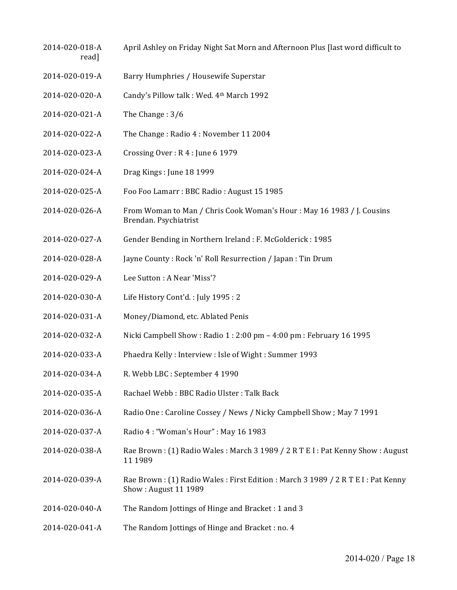2014-020-018-A April Ashley on Friday Night Sat Morn and Afternoon Plus [last word difficult to read] 2014-020-019-A Barry Humphries / Housewife Superstar  $2014-020-020-A$  Candy's Pillow talk : Wed.  $4<sup>th</sup>$  March 1992 2014-020-021-A The Change: 3/6 2014-020-022-A The Change : Radio 4 : November 11 2004 2014-020-023-A Crossing Over: R 4: June 6 1979 2014-020-024-A Drag Kings: June 18 1999 2014-020-025-A Foo Foo Lamarr : BBC Radio : August 15 1985 2014-020-026-A From Woman to Man / Chris Cook Woman's Hour : May 16 1983 / J. Cousins Brendan. Psychiatrist 2014-020-027-A Gender Bending in Northern Ireland : F. McGolderick : 1985 2014-020-028-A Jayne County: Rock 'n' Roll Resurrection / Japan : Tin Drum 2014-020-029-A Lee Sutton : A Near 'Miss'? 2014-020-030-A Life History Cont'd.: July 1995 : 2 2014-020-031-A Money/Diamond, etc. Ablated Penis  $2014-020-032-A$  Nicki Campbell Show : Radio  $1:2:00$  pm  $-4:00$  pm : February 16 1995 2014-020-033-A Phaedra Kelly : Interview : Isle of Wight : Summer 1993 2014-020-034-A R. Webb LBC : September 4 1990 2014-020-035-A Rachael Webb: BBC Radio Ulster: Talk Back 2014-020-036-A Radio One : Caroline Cossey / News / Nicky Campbell Show ; May 7 1991 2014-020-037-A Radio 4 : "Woman's Hour" : May 16 1983 2014-020-038-A Rae Brown : (1) Radio Wales : March 3 1989 / 2 R T E I : Pat Kenny Show : August 11 1989 2014-020-039-A Rae Brown : (1) Radio Wales : First Edition : March 3 1989 / 2 R T E I : Pat Kenny Show: August 11 1989 2014-020-040-A The Random Jottings of Hinge and Bracket : 1 and 3 2014-020-041-A The Random Jottings of Hinge and Bracket : no. 4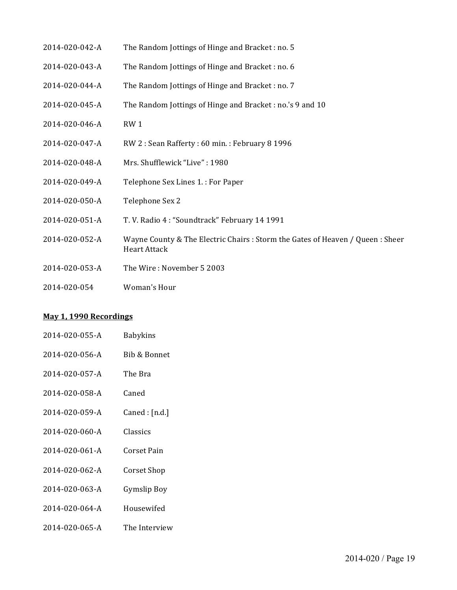| 2014-020-042-A | The Random Jottings of Hinge and Bracket: no. 5                                                       |
|----------------|-------------------------------------------------------------------------------------------------------|
| 2014-020-043-A | The Random Jottings of Hinge and Bracket: no. 6                                                       |
| 2014-020-044-A | The Random Jottings of Hinge and Bracket: no. 7                                                       |
| 2014-020-045-A | The Random Jottings of Hinge and Bracket: no.'s 9 and 10                                              |
| 2014-020-046-A | RW <sub>1</sub>                                                                                       |
| 2014-020-047-A | RW 2: Sean Rafferty: 60 min.: February 8 1996                                                         |
| 2014-020-048-A | Mrs. Shufflewick "Live": 1980                                                                         |
| 2014-020-049-A | Telephone Sex Lines 1.: For Paper                                                                     |
| 2014-020-050-A | Telephone Sex 2                                                                                       |
| 2014-020-051-A | T. V. Radio 4 : "Soundtrack" February 14 1991                                                         |
| 2014-020-052-A | Wayne County & The Electric Chairs : Storm the Gates of Heaven / Queen : Sheer<br><b>Heart Attack</b> |
| 2014-020-053-A | The Wire: November 5 2003                                                                             |
| 2014-020-054   | Woman's Hour                                                                                          |

## **May 1, 1990 Recordings**

| 2014-020-055-A | <b>Babykins</b>    |
|----------------|--------------------|
| 2014-020-056-A | Bib & Bonnet       |
| 2014-020-057-A | The Bra            |
| 2014-020-058-A | Caned              |
| 2014-020-059-A | Caned : [n.d.]     |
| 2014-020-060-A | Classics           |
| 2014-020-061-A | <b>Corset Pain</b> |
| 2014-020-062-A | <b>Corset Shop</b> |
| 2014-020-063-A | Gymslip Boy        |
| 2014-020-064-A | Housewifed         |
| 2014-020-065-A | The Interview      |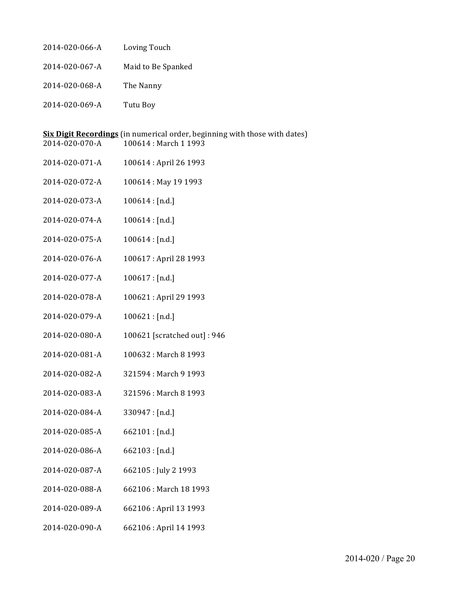| 2014-020-066-A | Loving Touch       |
|----------------|--------------------|
| 2014-020-067-A | Maid to Be Spanked |
| 2014-020-068-A | The Nanny          |
| 2014-020-069-A | Tutu Boy           |

|                | <b>Six Digit Recordings</b> (in numerical order, beginning with those with dates) |
|----------------|-----------------------------------------------------------------------------------|
| 2014-020-070-A | 100614 : March 1 1993                                                             |

- 2014-020-071-A 100614: April 26 1993 2014-020-072-A 100614: May 19 1993 2014-020-073-A 100614 : [n.d.] 2014-020-074-A 100614 : [n.d.] 2014-020-075-A 100614 : [n.d.] 2014-020-076-A 100617: April 28 1993 2014-020-077-A 100617 : [n.d.] 2014-020-078-A 100621: April 29 1993 2014-020-079-A 100621 : [n.d.] 2014-020-080-A 100621 [scratched out] : 946 2014-020-081-A 100632: March 8 1993 2014-020-082-A 321594 : March 9 1993 2014-020-083-A 321596: March 8 1993 2014-020-084-A 330947 : [n.d.] 2014-020-085-A 662101 : [n.d.]  $2014-020-086-A$  662103 : [n.d.] 2014-020-087-A 662105 : July 2 1993 2014-020-088-A 662106 : March 18 1993 2014-020-089-A 662106 : April 13 1993
- 2014-020-090-A 662106: April 14 1993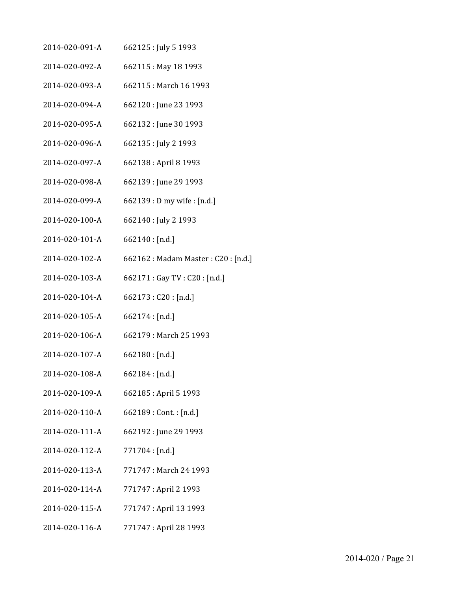| 2014-020-091-A | 662125 : July 5 1993 |
|----------------|----------------------|
|                |                      |

- 2014-020-092-A 662115 : May 18 1993
- 2014-020-093-A 662115 : March 16 1993
- 2014-020-094-A 662120 : June 23 1993
- 2014-020-095-A 662132 : June 30 1993
- 2014-020-096-A 662135 : July 2 1993
- 2014-020-097-A 662138: April 8 1993
- 2014-020-098-A 662139 : June 29 1993
- 2014-020-099-A 662139 : D my wife : [n.d.]
- 2014-020-100-A 662140 : July 2 1993
- $2014-020-101-A$  662140 : [n.d.]
- 2014-020-102-A 662162 : Madam Master : C20 : [n.d.]
- 2014-020-103-A 662171 : Gay TV : C20 : [n.d.]
- 2014-020-104-A 662173 : C20 : [n.d.]
- 2014-020-105-A 662174 : [n.d.]
- 2014-020-106-A 662179: March 25 1993
- 2014-020-107-A 662180 : [n.d.]
- 2014-020-108-A 662184 : [n.d.]
- 2014-020-109-A 662185: April 5 1993
- 2014-020-110-A 662189 : Cont. : [n.d.]
- 2014-020-111-A 662192 : June 29 1993
- 2014-020-112-A 771704 : [n.d.]
- 2014-020-113-A 771747 : March 24 1993
- 2014-020-114-A 771747: April 2 1993
- 2014-020-115-A 771747: April 13 1993
- 2014-020-116-A 771747: April 28 1993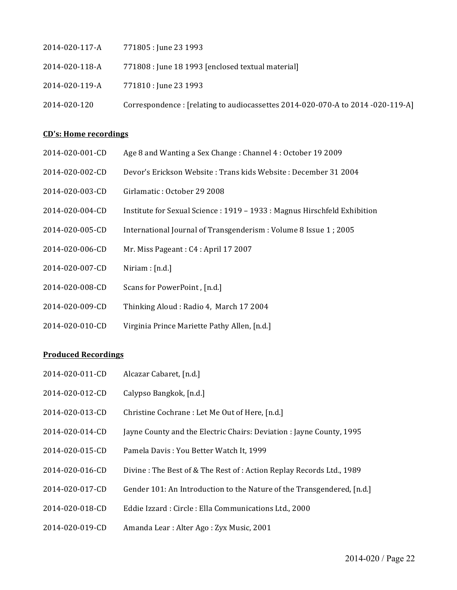| 2014-020-117-A | 771805 : June 23 1993                                                          |
|----------------|--------------------------------------------------------------------------------|
| 2014-020-118-A | 771808 : June 18 1993 [enclosed textual material]                              |
| 2014-020-119-A | 771810 : June 23 1993                                                          |
| 2014-020-120   | Correspondence : [relating to audiocassettes 2014-020-070-A to 2014-020-119-A] |

#### **CD's: Home recordings**

| 2014-020-001-CD | Age 8 and Wanting a Sex Change : Channel 4 : October 19 2009 |  |
|-----------------|--------------------------------------------------------------|--|
|                 |                                                              |  |

- 2014-020-002-CD Devor's Erickson Website : Trans kids Website : December 31 2004
- 2014-020-003-CD Girlamatic: October 29 2008
- 2014-020-004-CD Institute for Sexual Science : 1919 1933 : Magnus Hirschfeld Exhibition
- 2014-020-005-CD International Journal of Transgenderism : Volume 8 Issue 1 ; 2005
- 2014-020-006-CD Mr. Miss Pageant : C4 : April 17 2007
- 2014-020-007-CD Niriam : [n.d.]
- $2014 020 008 CD$  Scans for PowerPoint, [n.d.]
- 2014-020-009-CD Thinking Aloud : Radio 4, March 17 2004
- 2014-020-010-CD Virginia Prince Mariette Pathy Allen, [n.d.]

#### **Produced Recordings**

| 2014-020-011-CD | Alcazar Cabaret, [n.d.]                                                |
|-----------------|------------------------------------------------------------------------|
| 2014-020-012-CD | Calypso Bangkok, [n.d.]                                                |
| 2014-020-013-CD | Christine Cochrane : Let Me Out of Here, [n.d.]                        |
| 2014-020-014-CD | Jayne County and the Electric Chairs: Deviation : Jayne County, 1995   |
| 2014-020-015-CD | Pamela Davis: You Better Watch It, 1999                                |
| 2014-020-016-CD | Divine: The Best of & The Rest of: Action Replay Records Ltd., 1989    |
| 2014-020-017-CD | Gender 101: An Introduction to the Nature of the Transgendered, [n.d.] |
| 2014-020-018-CD | Eddie Izzard: Circle: Ella Communications Ltd., 2000                   |
| 2014-020-019-CD | Amanda Lear: Alter Ago: Zyx Music, 2001                                |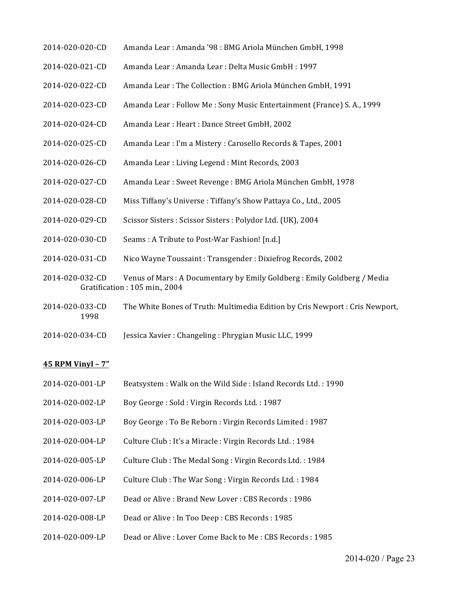- 2014-020-020-CD Amanda Lear : Amanda '98 : BMG Ariola München GmbH, 1998
- 2014-020-021-CD Amanda Lear : Amanda Lear : Delta Music GmbH : 1997
- 2014-020-022-CD Amanda Lear : The Collection : BMG Ariola München GmbH, 1991
- 2014-020-023-CD Amanda Lear : Follow Me : Sony Music Entertainment (France) S. A., 1999
- 2014-020-024-CD Amanda Lear : Heart : Dance Street GmbH, 2002
- 2014-020-025-CD Amanda Lear : I'm a Mistery : Carosello Records & Tapes, 2001
- 2014-020-026-CD Amanda Lear : Living Legend : Mint Records, 2003
- 2014-020-027-CD Amanda Lear : Sweet Revenge : BMG Ariola München GmbH, 1978
- 2014-020-028-CD Miss Tiffany's Universe : Tiffany's Show Pattaya Co., Ltd., 2005
- 2014-020-029-CD Scissor Sisters : Scissor Sisters : Polydor Ltd. (UK), 2004
- 2014-020-030-CD Seams: A Tribute to Post-War Fashion! [n.d.]
- 2014-020-031-CD Nico Wayne Toussaint : Transgender : Dixiefrog Records, 2002
- 2014-020-032-CD Venus of Mars : A Documentary by Emily Goldberg : Emily Goldberg / Media Gratification : 105 min., 2004
- 2014-020-033-CD The White Bones of Truth: Multimedia Edition by Cris Newport : Cris Newport, 1998
- 2014-020-034-CD Jessica Xavier : Changeling : Phrygian Music LLC, 1999

#### **45 RPM Vinyl – 7"**

- 2014-020-001-LP Beatsystem : Walk on the Wild Side : Island Records Ltd. : 1990
- 2014-020-002-LP Boy George: Sold: Virgin Records Ltd.: 1987
- 2014-020-003-LP Boy George: To Be Reborn: Virgin Records Limited: 1987
- 2014-020-004-LP Culture Club : It's a Miracle : Virgin Records Ltd. : 1984
- 2014-020-005-LP Culture Club : The Medal Song : Virgin Records Ltd. : 1984
- 2014-020-006-LP Culture Club : The War Song : Virgin Records Ltd. : 1984
- 2014-020-007-LP Dead or Alive : Brand New Lover : CBS Records : 1986
- 2014-020-008-LP Dead or Alive : In Too Deep : CBS Records : 1985
- 2014-020-009-LP Dead or Alive : Lover Come Back to Me : CBS Records : 1985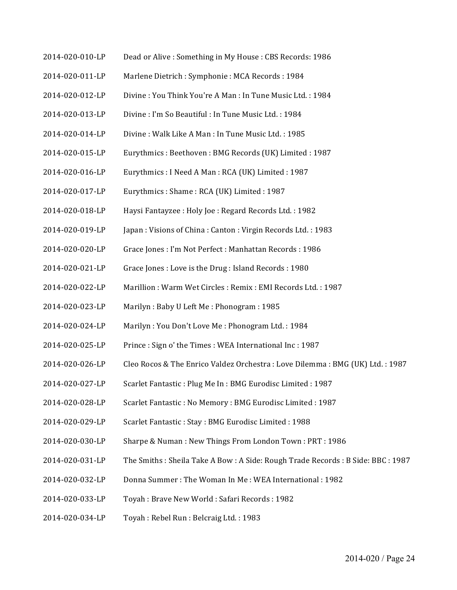- 2014-020-010-LP Dead or Alive : Something in My House : CBS Records: 1986
- 2014-020-011-LP Marlene Dietrich : Symphonie : MCA Records : 1984
- 2014-020-012-LP Divine : You Think You're A Man : In Tune Music Ltd. : 1984
- $2014 020 013 LP$  Divine : I'm So Beautiful : In Tune Music Ltd. : 1984
- $2014 020 014 LP$  Divine : Walk Like A Man : In Tune Music Ltd. : 1985
- 2014-020-015-LP Eurythmics : Beethoven : BMG Records (UK) Limited : 1987
- 2014-020-016-LP Eurythmics : I Need A Man : RCA (UK) Limited : 1987
- 2014-020-017-LP Eurythmics : Shame : RCA (UK) Limited : 1987
- 2014-020-018-LP Haysi Fantayzee : Holy Joe : Regard Records Ltd. : 1982
- 2014-020-019-LP Japan : Visions of China : Canton : Virgin Records Ltd. : 1983
- 2014-020-020-LP Grace Jones : I'm Not Perfect : Manhattan Records : 1986
- 2014-020-021-LP Grace Jones : Love is the Drug : Island Records : 1980
- 2014-020-022-LP Marillion : Warm Wet Circles : Remix : EMI Records Ltd. : 1987
- 2014-020-023-LP Marilyn: Baby U Left Me: Phonogram: 1985
- 2014-020-024-LP Marilyn : You Don't Love Me : Phonogram Ltd. : 1984
- 2014-020-025-LP Prince : Sign o' the Times : WEA International Inc : 1987
- 2014-020-026-LP Cleo Rocos & The Enrico Valdez Orchestra : Love Dilemma : BMG (UK) Ltd. : 1987
- 2014-020-027-LP Scarlet Fantastic : Plug Me In : BMG Eurodisc Limited : 1987
- 2014-020-028-LP Scarlet Fantastic : No Memory : BMG Eurodisc Limited : 1987
- 2014-020-029-LP Scarlet Fantastic : Stay : BMG Eurodisc Limited : 1988
- 2014-020-030-LP Sharpe & Numan : New Things From London Town : PRT : 1986
- 2014-020-031-LP The Smiths : Sheila Take A Bow : A Side: Rough Trade Records : B Side: BBC : 1987
- 2014-020-032-LP Donna Summer : The Woman In Me : WEA International : 1982
- 2014-020-033-LP Toyah : Brave New World : Safari Records : 1982
- 2014-020-034-LP Toyah : Rebel Run : Belcraig Ltd. : 1983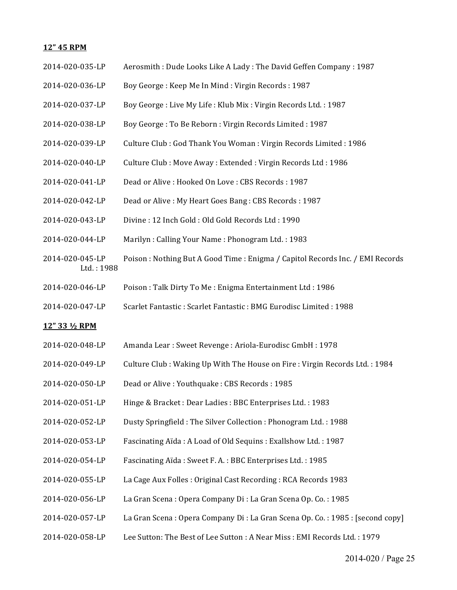#### **12" 45 RPM**

- 2014-020-035-LP Aerosmith : Dude Looks Like A Lady : The David Geffen Company : 1987
- 2014-020-036-LP Boy George: Keep Me In Mind: Virgin Records: 1987
- 2014-020-037-LP Boy George : Live My Life : Klub Mix : Virgin Records Ltd. : 1987
- 2014-020-038-LP Boy George : To Be Reborn : Virgin Records Limited : 1987
- 2014-020-039-LP Culture Club : God Thank You Woman : Virgin Records Limited : 1986
- 2014-020-040-LP Culture Club : Move Away : Extended : Virgin Records Ltd : 1986
- 2014-020-041-LP Dead or Alive : Hooked On Love : CBS Records : 1987
- 2014-020-042-LP Dead or Alive : My Heart Goes Bang : CBS Records : 1987
- 2014-020-043-LP Divine : 12 Inch Gold : Old Gold Records Ltd : 1990
- 2014-020-044-LP Marilyn: Calling Your Name: Phonogram Ltd.: 1983
- 2014-020-045-LP Poison : Nothing But A Good Time : Enigma / Capitol Records Inc. / EMI Records  $Ltd. : 1988$
- 2014-020-046-LP Poison : Talk Dirty To Me : Enigma Entertainment Ltd : 1986
- 2014-020-047-LP Scarlet Fantastic : Scarlet Fantastic : BMG Eurodisc Limited : 1988

#### **12" 33 ½ RPM**

- 2014-020-048-LP Amanda Lear : Sweet Revenge : Ariola-Eurodisc GmbH : 1978
- 2014-020-049-LP Culture Club : Waking Up With The House on Fire : Virgin Records Ltd. : 1984
- 2014-020-050-LP Dead or Alive : Youthquake : CBS Records : 1985
- 2014-020-051-LP Hinge & Bracket : Dear Ladies : BBC Enterprises Ltd. : 1983
- 2014-020-052-LP Dusty Springfield : The Silver Collection : Phonogram Ltd. : 1988
- 2014-020-053-LP Fascinating Aïda: A Load of Old Sequins: Exallshow Ltd.: 1987
- 2014-020-054-LP Fascinating Aïda : Sweet F. A. : BBC Enterprises Ltd. : 1985
- 2014-020-055-LP La Cage Aux Folles : Original Cast Recording : RCA Records 1983
- 2014-020-056-LP La Gran Scena : Opera Company Di : La Gran Scena Op. Co. : 1985
- 2014-020-057-LP La Gran Scena : Opera Company Di : La Gran Scena Op. Co. : 1985 : [second copy]
- 2014-020-058-LP Lee Sutton: The Best of Lee Sutton : A Near Miss : EMI Records Ltd. : 1979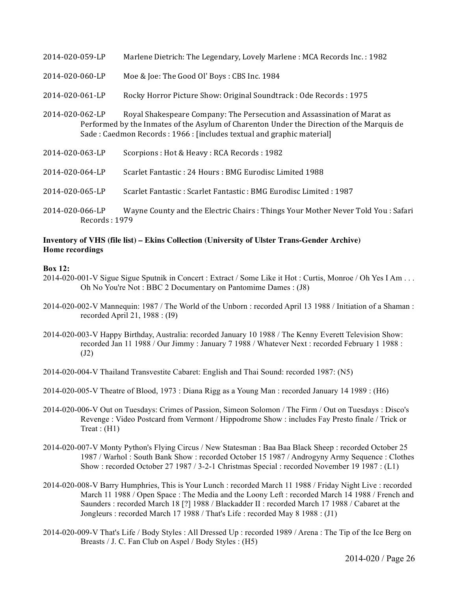| 2014-020-059-LP                  | Marlene Dietrich: The Legendary, Lovely Marlene: MCA Records Inc.: 1982                                                                                                                                                                       |
|----------------------------------|-----------------------------------------------------------------------------------------------------------------------------------------------------------------------------------------------------------------------------------------------|
| 2014-020-060-LP                  | Moe & Joe: The Good Ol' Boys: CBS Inc. 1984                                                                                                                                                                                                   |
| 2014-020-061-LP                  | Rocky Horror Picture Show: Original Soundtrack: Ode Records: 1975                                                                                                                                                                             |
| 2014-020-062-LP                  | Royal Shakespeare Company: The Persecution and Assassination of Marat as<br>Performed by the Inmates of the Asylum of Charenton Under the Direction of the Marquis de<br>Sade: Caedmon Records: 1966: [includes textual and graphic material] |
| 2014-020-063-LP                  | Scorpions: Hot & Heavy: RCA Records: 1982                                                                                                                                                                                                     |
| 2014-020-064-LP                  | Scarlet Fantastic: 24 Hours: BMG Eurodisc Limited 1988                                                                                                                                                                                        |
| 2014-020-065-LP                  | Scarlet Fantastic : Scarlet Fantastic : BMG Eurodisc Limited : 1987                                                                                                                                                                           |
| 2014-020-066-LP<br>Records: 1979 | Wayne County and the Electric Chairs: Things Your Mother Never Told You: Safari                                                                                                                                                               |

#### **Inventory of VHS (file list) – Ekins Collection (University of Ulster Trans-Gender Archive) Home recordings**

#### **Box 12:**

- 2014-020-001-V Sigue Sigue Sputnik in Concert : Extract / Some Like it Hot : Curtis, Monroe / Oh Yes I Am . . . Oh No You're Not : BBC 2 Documentary on Pantomime Dames : (J8)
- 2014-020-002-V Mannequin: 1987 / The World of the Unborn : recorded April 13 1988 / Initiation of a Shaman : recorded April 21, 1988 : (I9)
- 2014-020-003-V Happy Birthday, Australia: recorded January 10 1988 / The Kenny Everett Television Show: recorded Jan 11 1988 / Our Jimmy : January 7 1988 / Whatever Next : recorded February 1 1988 : (J2)
- 2014-020-004-V Thailand Transvestite Cabaret: English and Thai Sound: recorded 1987: (N5)
- 2014-020-005-V Theatre of Blood, 1973 : Diana Rigg as a Young Man : recorded January 14 1989 : (H6)
- 2014-020-006-V Out on Tuesdays: Crimes of Passion, Simeon Solomon / The Firm / Out on Tuesdays : Disco's Revenge : Video Postcard from Vermont / Hippodrome Show : includes Fay Presto finale / Trick or Treat :  $(H1)$
- 2014-020-007-V Monty Python's Flying Circus / New Statesman : Baa Baa Black Sheep : recorded October 25 1987 / Warhol : South Bank Show : recorded October 15 1987 / Androgyny Army Sequence : Clothes Show : recorded October 27 1987 / 3-2-1 Christmas Special : recorded November 19 1987 : (L1)
- 2014-020-008-V Barry Humphries, This is Your Lunch : recorded March 11 1988 / Friday Night Live : recorded March 11 1988 / Open Space : The Media and the Loony Left : recorded March 14 1988 / French and Saunders : recorded March 18 [?] 1988 / Blackadder II : recorded March 17 1988 / Cabaret at the Jongleurs : recorded March 17 1988 / That's Life : recorded May 8 1988 : (J1)
- 2014-020-009-V That's Life / Body Styles : All Dressed Up : recorded 1989 / Arena : The Tip of the Ice Berg on Breasts / J. C. Fan Club on Aspel / Body Styles : (H5)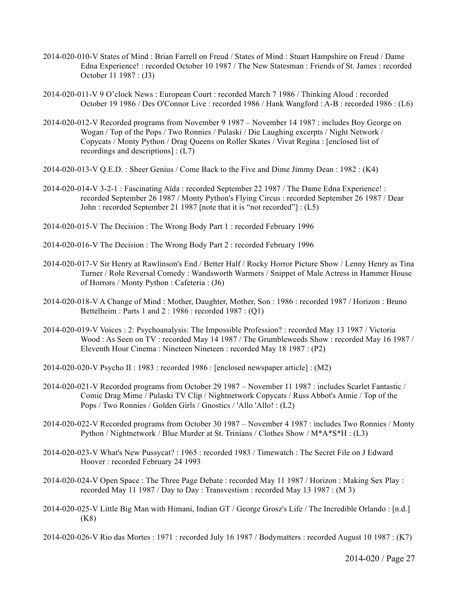- 2014-020-010-V States of Mind : Brian Farrell on Freud / States of Mind : Stuart Hampshire on Freud / Dame Edna Experience! : recorded October 10 1987 / The New Statesman : Friends of St. James : recorded October 11 1987 : (J3)
- 2014-020-011-V 9 O'clock News : European Court : recorded March 7 1986 / Thinking Aloud : recorded October 19 1986 / Des O'Connor Live : recorded 1986 / Hank Wangford : A-B : recorded 1986 : (L6)
- 2014-020-012-V Recorded programs from November 9 1987 November 14 1987 : includes Boy George on Wogan / Top of the Pops / Two Ronnies / Pulaski / Die Laughing excerpts / Night Network / Copycats / Monty Python / Drag Queens on Roller Skates / Vivat Regina : [enclosed list of recordings and descriptions] : (L7)
- 2014-020-013-V Q.E.D. : Sheer Genius / Come Back to the Five and Dime Jimmy Dean : 1982 : (K4)
- 2014-020-014-V 3-2-1 : Fascinating Aïda : recorded September 22 1987 / The Dame Edna Experience! : recorded September 26 1987 / Monty Python's Flying Circus : recorded September 26 1987 / Dear John : recorded September 21 1987 [note that it is "not recorded"] : (L5)
- 2014-020-015-V The Decision : The Wrong Body Part 1 : recorded February 1996
- 2014-020-016-V The Decision : The Wrong Body Part 2 : recorded February 1996
- 2014-020-017-V Sir Henry at Rawlinson's End / Better Half / Rocky Horror Picture Show / Lenny Henry as Tina Turner / Role Reversal Comedy : Wandsworth Warmers / Snippet of Male Actress in Hammer House of Horrors / Monty Python : Cafeteria : (J6)
- 2014-020-018-V A Change of Mind : Mother, Daughter, Mother, Son : 1986 : recorded 1987 / Horizon : Bruno Bettelheim : Parts 1 and 2 : 1986 : recorded 1987 : (Q1)
- 2014-020-019-V Voices : 2: Psychoanalysis: The Impossible Profession? : recorded May 13 1987 / Victoria Wood : As Seen on TV : recorded May 14 1987 / The Grumbleweeds Show : recorded May 16 1987 / Eleventh Hour Cinema : Nineteen Nineteen : recorded May 18 1987 : (P2)
- 2014-020-020-V Psycho II : 1983 : recorded 1986 : [enclosed newspaper article] : (M2)
- 2014-020-021-V Recorded programs from October 29 1987 November 11 1987 : includes Scarlet Fantastic / Comic Drag Mime / Pulaski TV Clip / Nightnetwork Copycats / Russ Abbot's Annie / Top of the Pops / Two Ronnies / Golden Girls / Gnostics / 'Allo 'Allo! : (L2)
- 2014-020-022-V Recorded programs from October 30 1987 November 4 1987 : includes Two Ronnies / Monty Python / Nightnetwork / Blue Murder at St. Trinians / Clothes Show / M\*A\*S\*H : (L3)
- 2014-020-023-V What's New Pussycat? : 1965 : recorded 1983 / Timewatch : The Secret File on J Edward Hoover : recorded February 24 1993
- 2014-020-024-V Open Space : The Three Page Debate : recorded May 11 1987 / Horizon : Making Sex Play : recorded May 11 1987 / Day to Day : Transvestism : recorded May 13 1987 : (M 3)
- 2014-020-025-V Little Big Man with Himani, Indian GT / George Grosz's Life / The Incredible Orlando : [n.d.] (K8)
- 2014-020-026-V Rio das Mortes : 1971 : recorded July 16 1987 / Bodymatters : recorded August 10 1987 : (K7)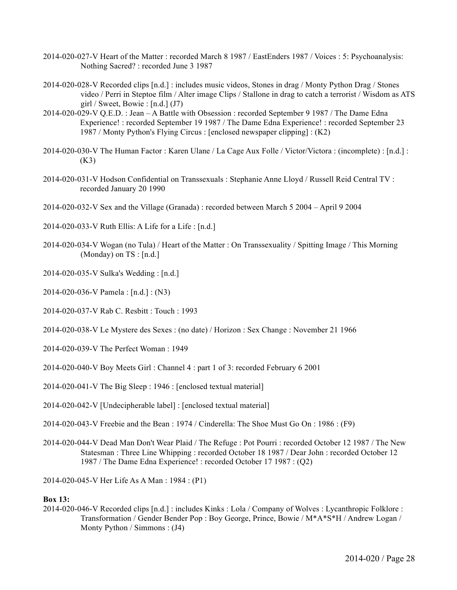- 2014-020-027-V Heart of the Matter : recorded March 8 1987 / EastEnders 1987 / Voices : 5: Psychoanalysis: Nothing Sacred? : recorded June 3 1987
- 2014-020-028-V Recorded clips [n.d.] : includes music videos, Stones in drag / Monty Python Drag / Stones video / Perri in Steptoe film / Alter image Clips / Stallone in drag to catch a terrorist / Wisdom as ATS girl / Sweet, Bowie :  $[n.d.]$  (J7)
- 2014-020-029-V Q.E.D. : Jean A Battle with Obsession : recorded September 9 1987 / The Dame Edna Experience! : recorded September 19 1987 / The Dame Edna Experience! : recorded September 23 1987 / Monty Python's Flying Circus : [enclosed newspaper clipping] : (K2)
- 2014-020-030-V The Human Factor : Karen Ulane / La Cage Aux Folle / Victor/Victora : (incomplete) : [n.d.] : (K3)
- 2014-020-031-V Hodson Confidential on Transsexuals : Stephanie Anne Lloyd / Russell Reid Central TV : recorded January 20 1990
- 2014-020-032-V Sex and the Village (Granada) : recorded between March 5 2004 April 9 2004
- 2014-020-033-V Ruth Ellis: A Life for a Life : [n.d.]
- 2014-020-034-V Wogan (no Tula) / Heart of the Matter : On Transsexuality / Spitting Image / This Morning (Monday) on  $TS : [n.d.]$
- 2014-020-035-V Sulka's Wedding : [n.d.]
- 2014-020-036-V Pamela : [n.d.] : (N3)
- 2014-020-037-V Rab C. Resbitt : Touch : 1993
- 2014-020-038-V Le Mystere des Sexes : (no date) / Horizon : Sex Change : November 21 1966
- 2014-020-039-V The Perfect Woman : 1949
- 2014-020-040-V Boy Meets Girl : Channel 4 : part 1 of 3: recorded February 6 2001
- 2014-020-041-V The Big Sleep : 1946 : [enclosed textual material]
- 2014-020-042-V [Undecipherable label] : [enclosed textual material]
- 2014-020-043-V Freebie and the Bean : 1974 / Cinderella: The Shoe Must Go On : 1986 : (F9)
- 2014-020-044-V Dead Man Don't Wear Plaid / The Refuge : Pot Pourri : recorded October 12 1987 / The New Statesman : Three Line Whipping : recorded October 18 1987 / Dear John : recorded October 12 1987 / The Dame Edna Experience! : recorded October 17 1987 : (Q2)

2014-020-045-V Her Life As A Man : 1984 : (P1)

#### **Box 13:**

2014-020-046-V Recorded clips [n.d.] : includes Kinks : Lola / Company of Wolves : Lycanthropic Folklore : Transformation / Gender Bender Pop : Boy George, Prince, Bowie / M\*A\*S\*H / Andrew Logan / Monty Python / Simmons : (J4)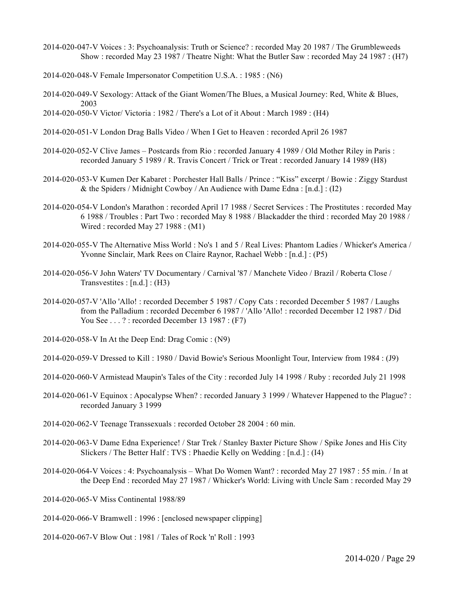- 2014-020-047-V Voices : 3: Psychoanalysis: Truth or Science? : recorded May 20 1987 / The Grumbleweeds Show : recorded May 23 1987 / Theatre Night: What the Butler Saw : recorded May 24 1987 : (H7)
- 2014-020-048-V Female Impersonator Competition U.S.A. : 1985 : (N6)
- 2014-020-049-V Sexology: Attack of the Giant Women/The Blues, a Musical Journey: Red, White & Blues, 2003
- 2014-020-050-V Victor/ Victoria : 1982 / There's a Lot of it About : March 1989 : (H4)
- 2014-020-051-V London Drag Balls Video / When I Get to Heaven : recorded April 26 1987
- 2014-020-052-V Clive James Postcards from Rio : recorded January 4 1989 / Old Mother Riley in Paris : recorded January 5 1989 / R. Travis Concert / Trick or Treat : recorded January 14 1989 (H8)
- 2014-020-053-V Kumen Der Kabaret : Porchester Hall Balls / Prince : "Kiss" excerpt / Bowie : Ziggy Stardust & the Spiders / Midnight Cowboy / An Audience with Dame Edna :  $[n.d.]$ : (I2)
- 2014-020-054-V London's Marathon : recorded April 17 1988 / Secret Services : The Prostitutes : recorded May 6 1988 / Troubles : Part Two : recorded May 8 1988 / Blackadder the third : recorded May 20 1988 / Wired : recorded May 27 1988 : (M1)
- 2014-020-055-V The Alternative Miss World : No's 1 and 5 / Real Lives: Phantom Ladies / Whicker's America / Yvonne Sinclair, Mark Rees on Claire Raynor, Rachael Webb : [n.d.] : (P5)
- 2014-020-056-V John Waters' TV Documentary / Carnival '87 / Manchete Video / Brazil / Roberta Close / Transvestites : [n.d.] : (H3)
- 2014-020-057-V 'Allo 'Allo! : recorded December 5 1987 / Copy Cats : recorded December 5 1987 / Laughs from the Palladium : recorded December 6 1987 / 'Allo 'Allo! : recorded December 12 1987 / Did You See . . . ? : recorded December 13 1987 : (F7)
- 2014-020-058-V In At the Deep End: Drag Comic : (N9)
- 2014-020-059-V Dressed to Kill : 1980 / David Bowie's Serious Moonlight Tour, Interview from 1984 : (J9)
- 2014-020-060-V Armistead Maupin's Tales of the City : recorded July 14 1998 / Ruby : recorded July 21 1998
- 2014-020-061-V Equinox : Apocalypse When? : recorded January 3 1999 / Whatever Happened to the Plague? : recorded January 3 1999
- 2014-020-062-V Teenage Transsexuals : recorded October 28 2004 : 60 min.
- 2014-020-063-V Dame Edna Experience! / Star Trek / Stanley Baxter Picture Show / Spike Jones and His City Slickers / The Better Half : TVS : Phaedie Kelly on Wedding : [n.d.] : (I4)
- 2014-020-064-V Voices : 4: Psychoanalysis What Do Women Want? : recorded May 27 1987 : 55 min. / In at the Deep End : recorded May 27 1987 / Whicker's World: Living with Uncle Sam : recorded May 29
- 2014-020-065-V Miss Continental 1988/89
- 2014-020-066-V Bramwell : 1996 : [enclosed newspaper clipping]
- 2014-020-067-V Blow Out : 1981 / Tales of Rock 'n' Roll : 1993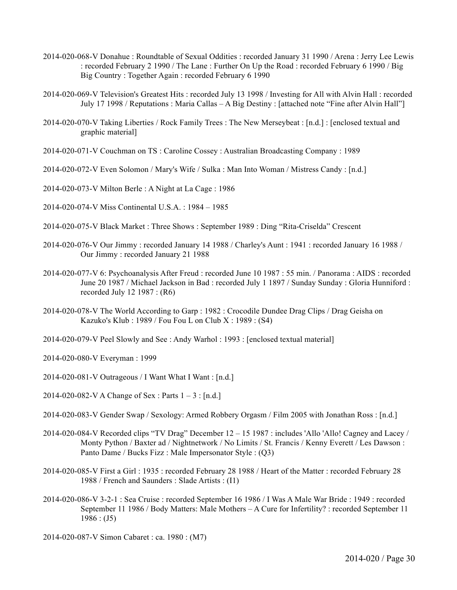- 2014-020-068-V Donahue : Roundtable of Sexual Oddities : recorded January 31 1990 / Arena : Jerry Lee Lewis : recorded February 2 1990 / The Lane : Further On Up the Road : recorded February 6 1990 / Big Big Country : Together Again : recorded February 6 1990
- 2014-020-069-V Television's Greatest Hits : recorded July 13 1998 / Investing for All with Alvin Hall : recorded July 17 1998 / Reputations : Maria Callas – A Big Destiny : [attached note "Fine after Alvin Hall"]
- 2014-020-070-V Taking Liberties / Rock Family Trees : The New Merseybeat : [n.d.] : [enclosed textual and graphic material]
- 2014-020-071-V Couchman on TS : Caroline Cossey : Australian Broadcasting Company : 1989
- 2014-020-072-V Even Solomon / Mary's Wife / Sulka : Man Into Woman / Mistress Candy : [n.d.]
- 2014-020-073-V Milton Berle : A Night at La Cage : 1986
- 2014-020-074-V Miss Continental U.S.A. : 1984 1985
- 2014-020-075-V Black Market : Three Shows : September 1989 : Ding "Rita-Criselda" Crescent
- 2014-020-076-V Our Jimmy : recorded January 14 1988 / Charley's Aunt : 1941 : recorded January 16 1988 / Our Jimmy : recorded January 21 1988
- 2014-020-077-V 6: Psychoanalysis After Freud : recorded June 10 1987 : 55 min. / Panorama : AIDS : recorded June 20 1987 / Michael Jackson in Bad : recorded July 1 1897 / Sunday Sunday : Gloria Hunniford : recorded July 12 1987 : (R6)
- 2014-020-078-V The World According to Garp : 1982 : Crocodile Dundee Drag Clips / Drag Geisha on Kazuko's Klub : 1989 / Fou Fou L on Club X : 1989 :  $(S4)$
- 2014-020-079-V Peel Slowly and See : Andy Warhol : 1993 : [enclosed textual material]
- 2014-020-080-V Everyman : 1999
- 2014-020-081-V Outrageous / I Want What I Want : [n.d.]
- 2014-020-082-V A Change of Sex : Parts  $1 3$  : [n.d.]
- 2014-020-083-V Gender Swap / Sexology: Armed Robbery Orgasm / Film 2005 with Jonathan Ross : [n.d.]
- 2014-020-084-V Recorded clips "TV Drag" December 12 15 1987 : includes 'Allo 'Allo! Cagney and Lacey / Monty Python / Baxter ad / Nightnetwork / No Limits / St. Francis / Kenny Everett / Les Dawson : Panto Dame / Bucks Fizz : Male Impersonator Style : (Q3)
- 2014-020-085-V First a Girl : 1935 : recorded February 28 1988 / Heart of the Matter : recorded February 28 1988 / French and Saunders : Slade Artists : (I1)
- 2014-020-086-V 3-2-1 : Sea Cruise : recorded September 16 1986 / I Was A Male War Bride : 1949 : recorded September 11 1986 / Body Matters: Male Mothers – A Cure for Infertility? : recorded September 11  $1986 : (J5)$
- 2014-020-087-V Simon Cabaret : ca. 1980 : (M7)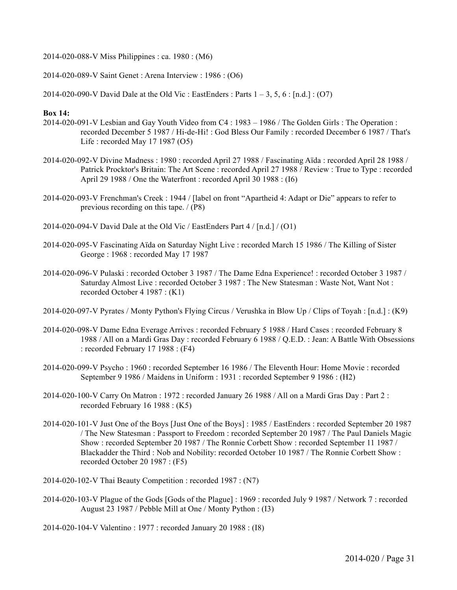2014-020-088-V Miss Philippines : ca. 1980 : (M6)

2014-020-089-V Saint Genet : Arena Interview : 1986 : (O6)

2014-020-090-V David Dale at the Old Vic : EastEnders : Parts  $1 - 3$ , 5, 6 : [n.d.] : (O7)

#### **Box 14:**

- 2014-020-091-V Lesbian and Gay Youth Video from C4 : 1983 1986 / The Golden Girls : The Operation : recorded December 5 1987 / Hi-de-Hi! : God Bless Our Family : recorded December 6 1987 / That's Life : recorded May 17 1987 (O5)
- 2014-020-092-V Divine Madness : 1980 : recorded April 27 1988 / Fascinating Aïda : recorded April 28 1988 / Patrick Procktor's Britain: The Art Scene : recorded April 27 1988 / Review : True to Type : recorded April 29 1988 / One the Waterfront : recorded April 30 1988 : (I6)
- 2014-020-093-V Frenchman's Creek : 1944 / [label on front "Apartheid 4: Adapt or Die" appears to refer to previous recording on this tape. / (P8)
- 2014-020-094-V David Dale at the Old Vic / EastEnders Part  $4/$  [n.d.] / (O1)
- 2014-020-095-V Fascinating Aïda on Saturday Night Live : recorded March 15 1986 / The Killing of Sister George : 1968 : recorded May 17 1987
- 2014-020-096-V Pulaski : recorded October 3 1987 / The Dame Edna Experience! : recorded October 3 1987 / Saturday Almost Live : recorded October 3 1987 : The New Statesman : Waste Not, Want Not : recorded October 4 1987 : (K1)
- 2014-020-097-V Pyrates / Monty Python's Flying Circus / Verushka in Blow Up / Clips of Toyah : [n.d.] : (K9)
- 2014-020-098-V Dame Edna Everage Arrives : recorded February 5 1988 / Hard Cases : recorded February 8 1988 / All on a Mardi Gras Day : recorded February 6 1988 / Q.E.D. : Jean: A Battle With Obsessions : recorded February 17 1988 : (F4)
- 2014-020-099-V Psycho : 1960 : recorded September 16 1986 / The Eleventh Hour: Home Movie : recorded September 9 1986 / Maidens in Uniform : 1931 : recorded September 9 1986 : (H2)
- 2014-020-100-V Carry On Matron : 1972 : recorded January 26 1988 / All on a Mardi Gras Day : Part 2 : recorded February 16 1988 : (K5)
- 2014-020-101-V Just One of the Boys [Just One of the Boys] : 1985 / EastEnders : recorded September 20 1987 / The New Statesman : Passport to Freedom : recorded September 20 1987 / The Paul Daniels Magic Show : recorded September 20 1987 / The Ronnie Corbett Show : recorded September 11 1987 / Blackadder the Third : Nob and Nobility: recorded October 10 1987 / The Ronnie Corbett Show : recorded October 20 1987 : (F5)
- 2014-020-102-V Thai Beauty Competition : recorded 1987 : (N7)
- 2014-020-103-V Plague of the Gods [Gods of the Plague] : 1969 : recorded July 9 1987 / Network 7 : recorded August 23 1987 / Pebble Mill at One / Monty Python : (I3)
- 2014-020-104-V Valentino : 1977 : recorded January 20 1988 : (I8)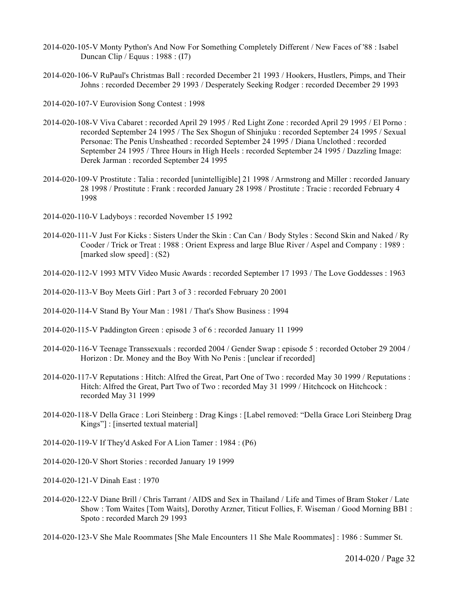- 2014-020-105-V Monty Python's And Now For Something Completely Different / New Faces of '88 : Isabel Duncan Clip / Equus : 1988 : (I7)
- 2014-020-106-V RuPaul's Christmas Ball : recorded December 21 1993 / Hookers, Hustlers, Pimps, and Their Johns : recorded December 29 1993 / Desperately Seeking Rodger : recorded December 29 1993
- 2014-020-107-V Eurovision Song Contest : 1998
- 2014-020-108-V Viva Cabaret : recorded April 29 1995 / Red Light Zone : recorded April 29 1995 / El Porno : recorded September 24 1995 / The Sex Shogun of Shinjuku : recorded September 24 1995 / Sexual Personae: The Penis Unsheathed : recorded September 24 1995 / Diana Unclothed : recorded September 24 1995 / Three Hours in High Heels : recorded September 24 1995 / Dazzling Image: Derek Jarman : recorded September 24 1995
- 2014-020-109-V Prostitute : Talia : recorded [unintelligible] 21 1998 / Armstrong and Miller : recorded January 28 1998 / Prostitute : Frank : recorded January 28 1998 / Prostitute : Tracie : recorded February 4 1998
- 2014-020-110-V Ladyboys : recorded November 15 1992
- 2014-020-111-V Just For Kicks : Sisters Under the Skin : Can Can / Body Styles : Second Skin and Naked / Ry Cooder / Trick or Treat : 1988 : Orient Express and large Blue River / Aspel and Company : 1989 : [marked slow speed] : (S2)
- 2014-020-112-V 1993 MTV Video Music Awards : recorded September 17 1993 / The Love Goddesses : 1963
- 2014-020-113-V Boy Meets Girl : Part 3 of 3 : recorded February 20 2001
- 2014-020-114-V Stand By Your Man : 1981 / That's Show Business : 1994
- 2014-020-115-V Paddington Green : episode 3 of 6 : recorded January 11 1999
- 2014-020-116-V Teenage Transsexuals : recorded 2004 / Gender Swap : episode 5 : recorded October 29 2004 / Horizon : Dr. Money and the Boy With No Penis : [unclear if recorded]
- 2014-020-117-V Reputations : Hitch: Alfred the Great, Part One of Two : recorded May 30 1999 / Reputations : Hitch: Alfred the Great, Part Two of Two : recorded May 31 1999 / Hitchcock on Hitchcock : recorded May 31 1999
- 2014-020-118-V Della Grace : Lori Steinberg : Drag Kings : [Label removed: "Della Grace Lori Steinberg Drag Kings"] : [inserted textual material]
- 2014-020-119-V If They'd Asked For A Lion Tamer : 1984 : (P6)
- 2014-020-120-V Short Stories : recorded January 19 1999
- 2014-020-121-V Dinah East : 1970
- 2014-020-122-V Diane Brill / Chris Tarrant / AIDS and Sex in Thailand / Life and Times of Bram Stoker / Late Show : Tom Waites [Tom Waits], Dorothy Arzner, Titicut Follies, F. Wiseman / Good Morning BB1 : Spoto : recorded March 29 1993
- 2014-020-123-V She Male Roommates [She Male Encounters 11 She Male Roommates] : 1986 : Summer St.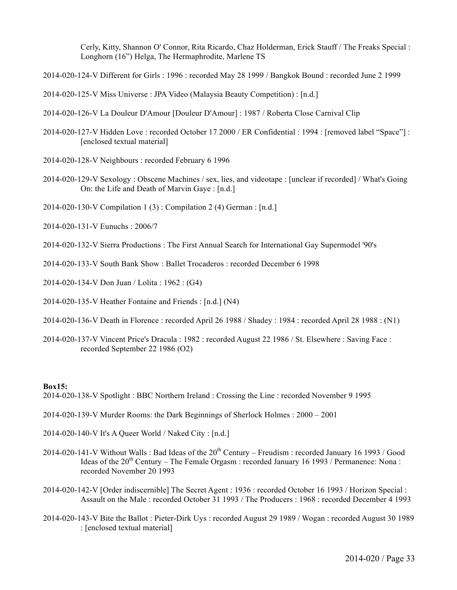Cerly, Kitty, Shannon O' Connor, Rita Ricardo, Chaz Holderman, Erick Stauff / The Freaks Special : Longhorn (16") Helga, The Hermaphrodite, Marlene TS

- 2014-020-124-V Different for Girls : 1996 : recorded May 28 1999 / Bangkok Bound : recorded June 2 1999
- 2014-020-125-V Miss Universe : JPA Video (Malaysia Beauty Competition) : [n.d.]
- 2014-020-126-V La Douleur D'Amour [Douleur D'Amour] : 1987 / Roberta Close Carnival Clip
- 2014-020-127-V Hidden Love : recorded October 17 2000 / ER Confidential : 1994 : [removed label "Space"] : [enclosed textual material]
- 2014-020-128-V Neighbours : recorded February 6 1996
- 2014-020-129-V Sexology : Obscene Machines / sex, lies, and videotape : [unclear if recorded] / What's Going On: the Life and Death of Marvin Gaye : [n.d.]
- 2014-020-130-V Compilation 1 (3) : Compilation 2 (4) German : [n.d.]
- 2014-020-131-V Eunuchs : 2006/7
- 2014-020-132-V Sierra Productions : The First Annual Search for International Gay Supermodel '90's
- 2014-020-133-V South Bank Show : Ballet Trocaderos : recorded December 6 1998
- 2014-020-134-V Don Juan / Lolita : 1962 : (G4)
- 2014-020-135-V Heather Fontaine and Friends : [n.d.] (N4)
- 2014-020-136-V Death in Florence : recorded April 26 1988 / Shadey : 1984 : recorded April 28 1988 : (N1)
- 2014-020-137-V Vincent Price's Dracula : 1982 : recorded August 22 1986 / St. Elsewhere : Saving Face : recorded September 22 1986 (O2)

#### **Box15:**

- 2014-020-138-V Spotlight : BBC Northern Ireland : Crossing the Line : recorded November 9 1995
- 2014-020-139-V Murder Rooms: the Dark Beginnings of Sherlock Holmes : 2000 2001
- 2014-020-140-V It's A Queer World / Naked City : [n.d.]
- 2014-020-141-V Without Walls : Bad Ideas of the 20<sup>th</sup> Century Freudism : recorded January 16 1993 / Good Ideas of the  $20<sup>th</sup>$  Century – The Female Orgasm : recorded January 16 1993 / Permanence: Nona : recorded November 20 1993
- 2014-020-142-V [Order indiscernible] The Secret Agent : 1936 : recorded October 16 1993 / Horizon Special : Assault on the Male : recorded October 31 1993 / The Producers : 1968 : recorded December 4 1993
- 2014-020-143-V Bite the Ballot : Pieter-Dirk Uys : recorded August 29 1989 / Wogan : recorded August 30 1989 : [enclosed textual material]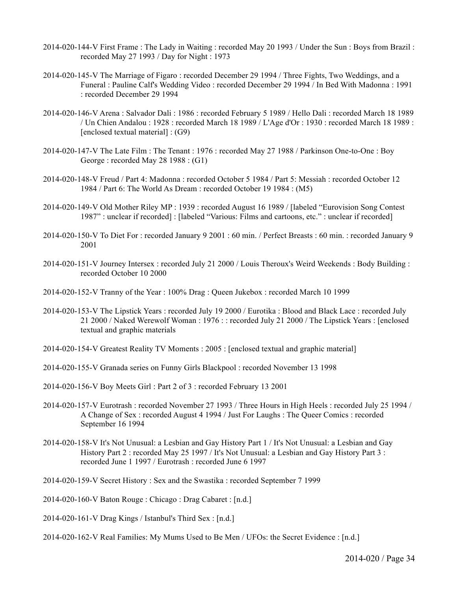- 2014-020-144-V First Frame : The Lady in Waiting : recorded May 20 1993 / Under the Sun : Boys from Brazil : recorded May 27 1993 / Day for Night : 1973
- 2014-020-145-V The Marriage of Figaro : recorded December 29 1994 / Three Fights, Two Weddings, and a Funeral : Pauline Calf's Wedding Video : recorded December 29 1994 / In Bed With Madonna : 1991 : recorded December 29 1994
- 2014-020-146-V Arena : Salvador Dali : 1986 : recorded February 5 1989 / Hello Dali : recorded March 18 1989 / Un Chien Andalou : 1928 : recorded March 18 1989 / L'Age d'Or : 1930 : recorded March 18 1989 : [enclosed textual material] : (G9)
- 2014-020-147-V The Late Film : The Tenant : 1976 : recorded May 27 1988 / Parkinson One-to-One : Boy George : recorded May 28 1988 : (G1)
- 2014-020-148-V Freud / Part 4: Madonna : recorded October 5 1984 / Part 5: Messiah : recorded October 12 1984 / Part 6: The World As Dream : recorded October 19 1984 : (M5)
- 2014-020-149-V Old Mother Riley MP : 1939 : recorded August 16 1989 / [labeled "Eurovision Song Contest 1987" : unclear if recorded] : [labeled "Various: Films and cartoons, etc." : unclear if recorded]
- 2014-020-150-V To Diet For : recorded January 9 2001 : 60 min. / Perfect Breasts : 60 min. : recorded January 9 2001
- 2014-020-151-V Journey Intersex : recorded July 21 2000 / Louis Theroux's Weird Weekends : Body Building : recorded October 10 2000
- 2014-020-152-V Tranny of the Year : 100% Drag : Queen Jukebox : recorded March 10 1999
- 2014-020-153-V The Lipstick Years : recorded July 19 2000 / Eurotika : Blood and Black Lace : recorded July 21 2000 / Naked Werewolf Woman : 1976 : : recorded July 21 2000 / The Lipstick Years : [enclosed textual and graphic materials
- 2014-020-154-V Greatest Reality TV Moments : 2005 : [enclosed textual and graphic material]
- 2014-020-155-V Granada series on Funny Girls Blackpool : recorded November 13 1998
- 2014-020-156-V Boy Meets Girl : Part 2 of 3 : recorded February 13 2001
- 2014-020-157-V Eurotrash : recorded November 27 1993 / Three Hours in High Heels : recorded July 25 1994 / A Change of Sex : recorded August 4 1994 / Just For Laughs : The Queer Comics : recorded September 16 1994
- 2014-020-158-V It's Not Unusual: a Lesbian and Gay History Part 1 / It's Not Unusual: a Lesbian and Gay History Part 2 : recorded May 25 1997 / It's Not Unusual: a Lesbian and Gay History Part 3 : recorded June 1 1997 / Eurotrash : recorded June 6 1997
- 2014-020-159-V Secret History : Sex and the Swastika : recorded September 7 1999
- 2014-020-160-V Baton Rouge : Chicago : Drag Cabaret : [n.d.]
- 2014-020-161-V Drag Kings / Istanbul's Third Sex : [n.d.]
- 2014-020-162-V Real Families: My Mums Used to Be Men / UFOs: the Secret Evidence : [n.d.]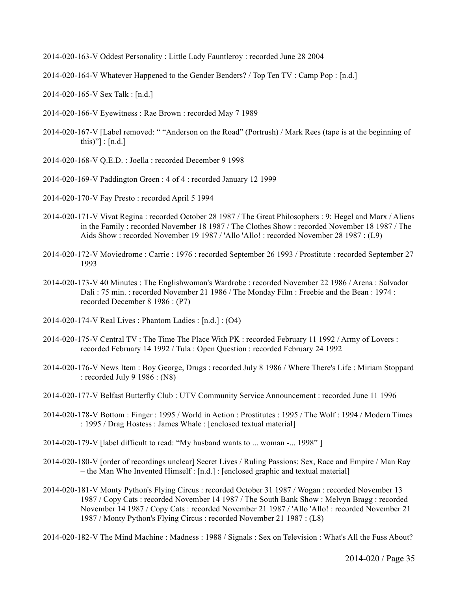2014-020-163-V Oddest Personality : Little Lady Fauntleroy : recorded June 28 2004

2014-020-164-V Whatever Happened to the Gender Benders? / Top Ten TV : Camp Pop : [n.d.]

2014-020-165-V Sex Talk : [n.d.]

- 2014-020-166-V Eyewitness : Rae Brown : recorded May 7 1989
- 2014-020-167-V [Label removed: " "Anderson on the Road" (Portrush) / Mark Rees (tape is at the beginning of this)"] :  $[n.d.]$
- 2014-020-168-V Q.E.D. : Joella : recorded December 9 1998
- 2014-020-169-V Paddington Green : 4 of 4 : recorded January 12 1999

2014-020-170-V Fay Presto : recorded April 5 1994

- 2014-020-171-V Vivat Regina : recorded October 28 1987 / The Great Philosophers : 9: Hegel and Marx / Aliens in the Family : recorded November 18 1987 / The Clothes Show : recorded November 18 1987 / The Aids Show : recorded November 19 1987 / 'Allo 'Allo! : recorded November 28 1987 : (L9)
- 2014-020-172-V Moviedrome : Carrie : 1976 : recorded September 26 1993 / Prostitute : recorded September 27 1993
- 2014-020-173-V 40 Minutes : The Englishwoman's Wardrobe : recorded November 22 1986 / Arena : Salvador Dali : 75 min. : recorded November 21 1986 / The Monday Film : Freebie and the Bean : 1974 : recorded December 8 1986 : (P7)
- 2014-020-174-V Real Lives : Phantom Ladies : [n.d.] : (O4)
- 2014-020-175-V Central TV : The Time The Place With PK : recorded February 11 1992 / Army of Lovers : recorded February 14 1992 / Tula : Open Question : recorded February 24 1992
- 2014-020-176-V News Item : Boy George, Drugs : recorded July 8 1986 / Where There's Life : Miriam Stoppard : recorded July 9 1986 : (N8)
- 2014-020-177-V Belfast Butterfly Club : UTV Community Service Announcement : recorded June 11 1996
- 2014-020-178-V Bottom : Finger : 1995 / World in Action : Prostitutes : 1995 / The Wolf : 1994 / Modern Times : 1995 / Drag Hostess : James Whale : [enclosed textual material]
- 2014-020-179-V [label difficult to read: "My husband wants to ... woman -... 1998" ]
- 2014-020-180-V [order of recordings unclear] Secret Lives / Ruling Passions: Sex, Race and Empire / Man Ray – the Man Who Invented Himself : [n.d.] : [enclosed graphic and textual material]
- 2014-020-181-V Monty Python's Flying Circus : recorded October 31 1987 / Wogan : recorded November 13 1987 / Copy Cats : recorded November 14 1987 / The South Bank Show : Melvyn Bragg : recorded November 14 1987 / Copy Cats : recorded November 21 1987 / 'Allo 'Allo! : recorded November 21 1987 / Monty Python's Flying Circus : recorded November 21 1987 : (L8)

2014-020-182-V The Mind Machine : Madness : 1988 / Signals : Sex on Television : What's All the Fuss About?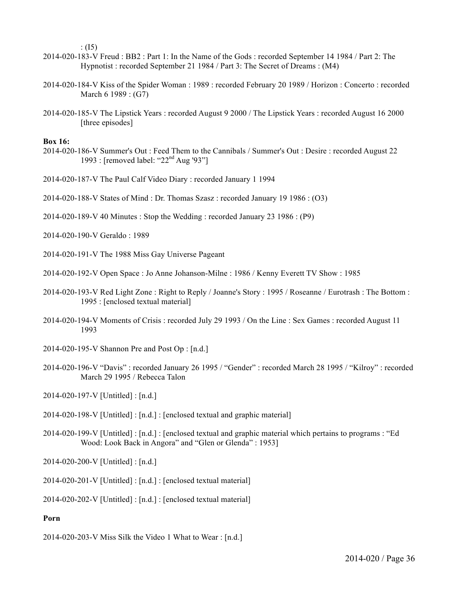:  $(15)$ 

- 2014-020-183-V Freud : BB2 : Part 1: In the Name of the Gods : recorded September 14 1984 / Part 2: The Hypnotist : recorded September 21 1984 / Part 3: The Secret of Dreams : (M4)
- 2014-020-184-V Kiss of the Spider Woman : 1989 : recorded February 20 1989 / Horizon : Concerto : recorded March 6 1989 : (G7)
- 2014-020-185-V The Lipstick Years : recorded August 9 2000 / The Lipstick Years : recorded August 16 2000 [three episodes]

#### **Box 16:**

- 2014-020-186-V Summer's Out : Feed Them to the Cannibals / Summer's Out : Desire : recorded August 22 1993 : [removed label: "22nd Aug '93"]
- 2014-020-187-V The Paul Calf Video Diary : recorded January 1 1994
- 2014-020-188-V States of Mind : Dr. Thomas Szasz : recorded January 19 1986 : (O3)
- 2014-020-189-V 40 Minutes : Stop the Wedding : recorded January 23 1986 : (P9)
- 2014-020-190-V Geraldo : 1989
- 2014-020-191-V The 1988 Miss Gay Universe Pageant
- 2014-020-192-V Open Space : Jo Anne Johanson-Milne : 1986 / Kenny Everett TV Show : 1985
- 2014-020-193-V Red Light Zone : Right to Reply / Joanne's Story : 1995 / Roseanne / Eurotrash : The Bottom : 1995 : [enclosed textual material]
- 2014-020-194-V Moments of Crisis : recorded July 29 1993 / On the Line : Sex Games : recorded August 11 1993
- 2014-020-195-V Shannon Pre and Post Op : [n.d.]
- 2014-020-196-V "Davis" : recorded January 26 1995 / "Gender" : recorded March 28 1995 / "Kilroy" : recorded March 29 1995 / Rebecca Talon
- 2014-020-197-V [Untitled] : [n.d.]
- 2014-020-198-V [Untitled] : [n.d.] : [enclosed textual and graphic material]
- 2014-020-199-V [Untitled] : [n.d.] : [enclosed textual and graphic material which pertains to programs : "Ed Wood: Look Back in Angora" and "Glen or Glenda" : 1953]
- 2014-020-200-V [Untitled] : [n.d.]
- 2014-020-201-V [Untitled] : [n.d.] : [enclosed textual material]
- 2014-020-202-V [Untitled] : [n.d.] : [enclosed textual material]

#### **Porn**

2014-020-203-V Miss Silk the Video 1 What to Wear : [n.d.]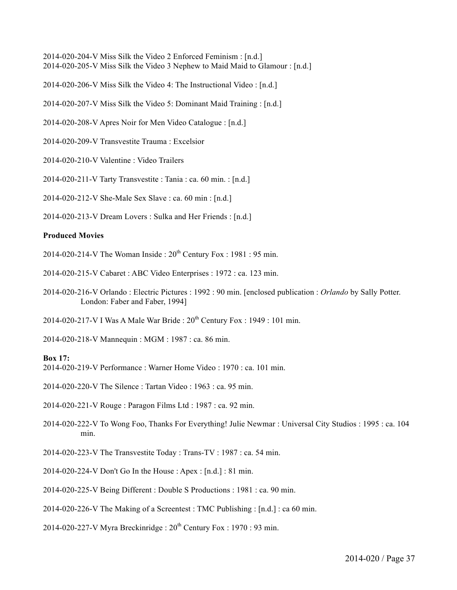2014-020-204-V Miss Silk the Video 2 Enforced Feminism : [n.d.] 2014-020-205-V Miss Silk the Video 3 Nephew to Maid Maid to Glamour : [n.d.]

2014-020-206-V Miss Silk the Video 4: The Instructional Video : [n.d.]

2014-020-207-V Miss Silk the Video 5: Dominant Maid Training : [n.d.]

2014-020-208-V Apres Noir for Men Video Catalogue : [n.d.]

2014-020-209-V Transvestite Trauma : Excelsior

2014-020-210-V Valentine : Video Trailers

2014-020-211-V Tarty Transvestite : Tania : ca. 60 min. : [n.d.]

2014-020-212-V She-Male Sex Slave : ca. 60 min : [n.d.]

2014-020-213-V Dream Lovers : Sulka and Her Friends : [n.d.]

#### **Produced Movies**

2014-020-214-V The Woman Inside :  $20<sup>th</sup>$  Century Fox : 1981 : 95 min.

2014-020-215-V Cabaret : ABC Video Enterprises : 1972 : ca. 123 min.

- 2014-020-216-V Orlando : Electric Pictures : 1992 : 90 min. [enclosed publication : *Orlando* by Sally Potter. London: Faber and Faber, 1994]
- 2014-020-217-V I Was A Male War Bride :  $20^{th}$  Century Fox : 1949 : 101 min.

2014-020-218-V Mannequin : MGM : 1987 : ca. 86 min.

#### **Box 17:**

2014-020-219-V Performance : Warner Home Video : 1970 : ca. 101 min.

2014-020-220-V The Silence : Tartan Video : 1963 : ca. 95 min.

2014-020-221-V Rouge : Paragon Films Ltd : 1987 : ca. 92 min.

2014-020-222-V To Wong Foo, Thanks For Everything! Julie Newmar : Universal City Studios : 1995 : ca. 104 min.

2014-020-223-V The Transvestite Today : Trans-TV : 1987 : ca. 54 min.

2014-020-224-V Don't Go In the House : Apex : [n.d.] : 81 min.

2014-020-225-V Being Different : Double S Productions : 1981 : ca. 90 min.

2014-020-226-V The Making of a Screentest : TMC Publishing : [n.d.] : ca 60 min.

2014-020-227-V Myra Breckinridge :  $20^{th}$  Century Fox : 1970 : 93 min.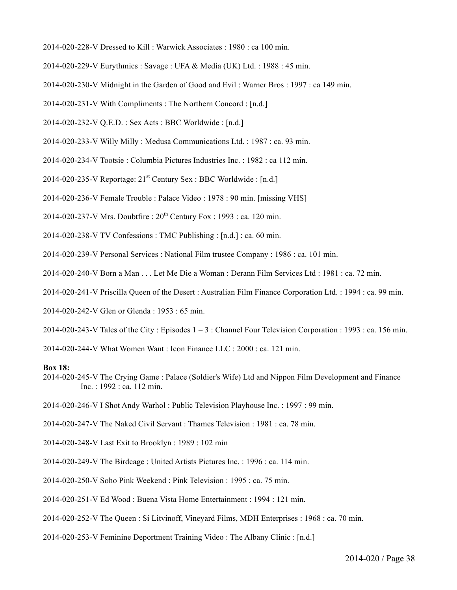- 2014-020-228-V Dressed to Kill : Warwick Associates : 1980 : ca 100 min.
- 2014-020-229-V Eurythmics : Savage : UFA & Media (UK) Ltd. : 1988 : 45 min.
- 2014-020-230-V Midnight in the Garden of Good and Evil : Warner Bros : 1997 : ca 149 min.
- 2014-020-231-V With Compliments : The Northern Concord : [n.d.]
- 2014-020-232-V Q.E.D. : Sex Acts : BBC Worldwide : [n.d.]
- 2014-020-233-V Willy Milly : Medusa Communications Ltd. : 1987 : ca. 93 min.
- 2014-020-234-V Tootsie : Columbia Pictures Industries Inc. : 1982 : ca 112 min.
- 2014-020-235-V Reportage:  $21^{st}$  Century Sex : BBC Worldwide : [n.d.]
- 2014-020-236-V Female Trouble : Palace Video : 1978 : 90 min. [missing VHS]
- 2014-020-237-V Mrs. Doubtfire :  $20^{th}$  Century Fox : 1993 : ca. 120 min.
- 2014-020-238-V TV Confessions : TMC Publishing : [n.d.] : ca. 60 min.
- 2014-020-239-V Personal Services : National Film trustee Company : 1986 : ca. 101 min.
- 2014-020-240-V Born a Man . . . Let Me Die a Woman : Derann Film Services Ltd : 1981 : ca. 72 min.
- 2014-020-241-V Priscilla Queen of the Desert : Australian Film Finance Corporation Ltd. : 1994 : ca. 99 min.
- 2014-020-242-V Glen or Glenda : 1953 : 65 min.
- 2014-020-243-V Tales of the City : Episodes  $1 3$  : Channel Four Television Corporation : 1993 : ca. 156 min.
- 2014-020-244-V What Women Want : Icon Finance LLC : 2000 : ca. 121 min.

#### **Box 18:**

- 2014-020-245-V The Crying Game : Palace (Soldier's Wife) Ltd and Nippon Film Development and Finance Inc. : 1992 : ca. 112 min.
- 2014-020-246-V I Shot Andy Warhol : Public Television Playhouse Inc. : 1997 : 99 min.
- 2014-020-247-V The Naked Civil Servant : Thames Television : 1981 : ca. 78 min.
- 2014-020-248-V Last Exit to Brooklyn : 1989 : 102 min
- 2014-020-249-V The Birdcage : United Artists Pictures Inc. : 1996 : ca. 114 min.
- 2014-020-250-V Soho Pink Weekend : Pink Television : 1995 : ca. 75 min.
- 2014-020-251-V Ed Wood : Buena Vista Home Entertainment : 1994 : 121 min.
- 2014-020-252-V The Queen : Si Litvinoff, Vineyard Films, MDH Enterprises : 1968 : ca. 70 min.
- 2014-020-253-V Feminine Deportment Training Video : The Albany Clinic : [n.d.]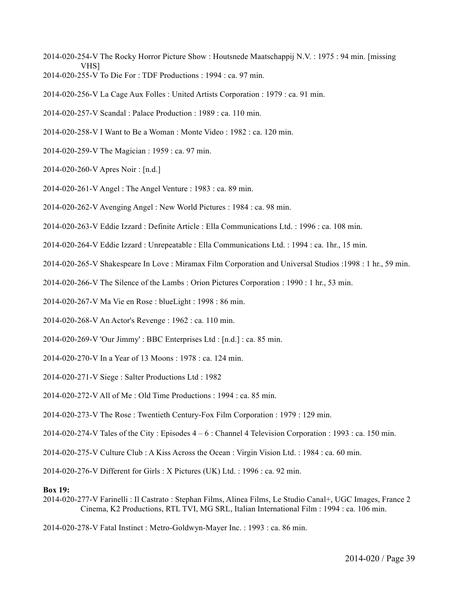- 2014-020-254-V The Rocky Horror Picture Show : Houtsnede Maatschappij N.V. : 1975 : 94 min. [missing VHS]
- 2014-020-255-V To Die For : TDF Productions : 1994 : ca. 97 min.
- 2014-020-256-V La Cage Aux Folles : United Artists Corporation : 1979 : ca. 91 min.
- 2014-020-257-V Scandal : Palace Production : 1989 : ca. 110 min.
- 2014-020-258-V I Want to Be a Woman : Monte Video : 1982 : ca. 120 min.
- 2014-020-259-V The Magician : 1959 : ca. 97 min.
- 2014-020-260-V Apres Noir : [n.d.]
- 2014-020-261-V Angel : The Angel Venture : 1983 : ca. 89 min.
- 2014-020-262-V Avenging Angel : New World Pictures : 1984 : ca. 98 min.
- 2014-020-263-V Eddie Izzard : Definite Article : Ella Communications Ltd. : 1996 : ca. 108 min.
- 2014-020-264-V Eddie Izzard : Unrepeatable : Ella Communications Ltd. : 1994 : ca. 1hr., 15 min.
- 2014-020-265-V Shakespeare In Love : Miramax Film Corporation and Universal Studios :1998 : 1 hr., 59 min.
- 2014-020-266-V The Silence of the Lambs : Orion Pictures Corporation : 1990 : 1 hr., 53 min.
- 2014-020-267-V Ma Vie en Rose : blueLight : 1998 : 86 min.
- 2014-020-268-V An Actor's Revenge : 1962 : ca. 110 min.
- 2014-020-269-V 'Our Jimmy' : BBC Enterprises Ltd : [n.d.] : ca. 85 min.
- 2014-020-270-V In a Year of 13 Moons : 1978 : ca. 124 min.
- 2014-020-271-V Siege : Salter Productions Ltd : 1982
- 2014-020-272-V All of Me : Old Time Productions : 1994 : ca. 85 min.
- 2014-020-273-V The Rose : Twentieth Century-Fox Film Corporation : 1979 : 129 min.
- 2014-020-274-V Tales of the City : Episodes  $4-6$  : Channel 4 Television Corporation : 1993 : ca. 150 min.
- 2014-020-275-V Culture Club : A Kiss Across the Ocean : Virgin Vision Ltd. : 1984 : ca. 60 min.
- 2014-020-276-V Different for Girls : X Pictures (UK) Ltd. : 1996 : ca. 92 min.

#### **Box 19:**

- 2014-020-277-V Farinelli : Il Castrato : Stephan Films, Alinea Films, Le Studio Canal+, UGC Images, France 2 Cinema, K2 Productions, RTL TVI, MG SRL, Italian International Film : 1994 : ca. 106 min.
- 2014-020-278-V Fatal Instinct : Metro-Goldwyn-Mayer Inc. : 1993 : ca. 86 min.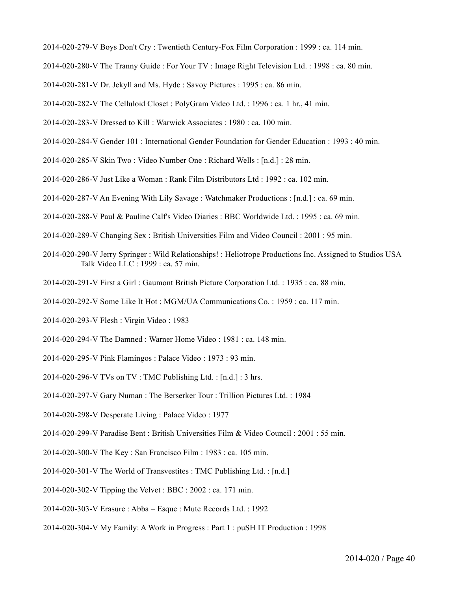- 2014-020-279-V Boys Don't Cry : Twentieth Century-Fox Film Corporation : 1999 : ca. 114 min.
- 2014-020-280-V The Tranny Guide : For Your TV : Image Right Television Ltd. : 1998 : ca. 80 min.
- 2014-020-281-V Dr. Jekyll and Ms. Hyde : Savoy Pictures : 1995 : ca. 86 min.
- 2014-020-282-V The Celluloid Closet : PolyGram Video Ltd. : 1996 : ca. 1 hr., 41 min.
- 2014-020-283-V Dressed to Kill : Warwick Associates : 1980 : ca. 100 min.
- 2014-020-284-V Gender 101 : International Gender Foundation for Gender Education : 1993 : 40 min.
- 2014-020-285-V Skin Two : Video Number One : Richard Wells : [n.d.] : 28 min.
- 2014-020-286-V Just Like a Woman : Rank Film Distributors Ltd : 1992 : ca. 102 min.
- 2014-020-287-V An Evening With Lily Savage : Watchmaker Productions : [n.d.] : ca. 69 min.
- 2014-020-288-V Paul & Pauline Calf's Video Diaries : BBC Worldwide Ltd. : 1995 : ca. 69 min.
- 2014-020-289-V Changing Sex : British Universities Film and Video Council : 2001 : 95 min.
- 2014-020-290-V Jerry Springer : Wild Relationships! : Heliotrope Productions Inc. Assigned to Studios USA Talk Video LLC : 1999 : ca. 57 min.
- 2014-020-291-V First a Girl : Gaumont British Picture Corporation Ltd. : 1935 : ca. 88 min.
- 2014-020-292-V Some Like It Hot : MGM/UA Communications Co. : 1959 : ca. 117 min.
- 2014-020-293-V Flesh : Virgin Video : 1983
- 2014-020-294-V The Damned : Warner Home Video : 1981 : ca. 148 min.
- 2014-020-295-V Pink Flamingos : Palace Video : 1973 : 93 min.
- 2014-020-296-V TVs on TV : TMC Publishing Ltd. : [n.d.] : 3 hrs.
- 2014-020-297-V Gary Numan : The Berserker Tour : Trillion Pictures Ltd. : 1984
- 2014-020-298-V Desperate Living : Palace Video : 1977
- 2014-020-299-V Paradise Bent : British Universities Film & Video Council : 2001 : 55 min.
- 2014-020-300-V The Key : San Francisco Film : 1983 : ca. 105 min.
- 2014-020-301-V The World of Transvestites : TMC Publishing Ltd. : [n.d.]
- 2014-020-302-V Tipping the Velvet : BBC : 2002 : ca. 171 min.
- 2014-020-303-V Erasure : Abba Esque : Mute Records Ltd. : 1992
- 2014-020-304-V My Family: A Work in Progress : Part 1 : puSH IT Production : 1998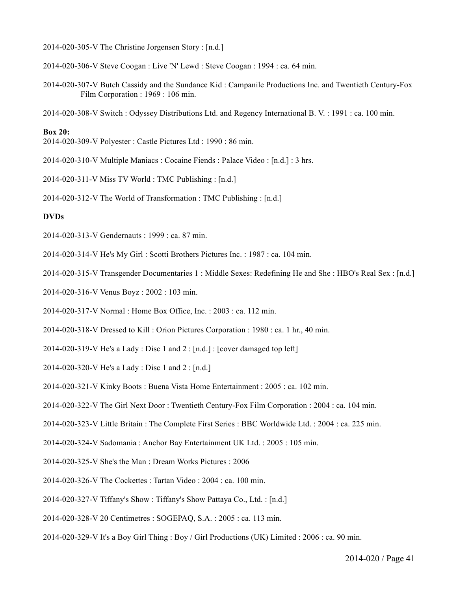- 2014-020-305-V The Christine Jorgensen Story : [n.d.]
- 2014-020-306-V Steve Coogan : Live 'N' Lewd : Steve Coogan : 1994 : ca. 64 min.
- 2014-020-307-V Butch Cassidy and the Sundance Kid : Campanile Productions Inc. and Twentieth Century-Fox Film Corporation : 1969 : 106 min.
- 2014-020-308-V Switch : Odyssey Distributions Ltd. and Regency International B. V. : 1991 : ca. 100 min.

#### **Box 20:**

2014-020-309-V Polyester : Castle Pictures Ltd : 1990 : 86 min.

- 2014-020-310-V Multiple Maniacs : Cocaine Fiends : Palace Video : [n.d.] : 3 hrs.
- 2014-020-311-V Miss TV World : TMC Publishing : [n.d.]
- 2014-020-312-V The World of Transformation : TMC Publishing : [n.d.]

#### **DVDs**

- 2014-020-313-V Gendernauts : 1999 : ca. 87 min.
- 2014-020-314-V He's My Girl : Scotti Brothers Pictures Inc. : 1987 : ca. 104 min.
- 2014-020-315-V Transgender Documentaries 1 : Middle Sexes: Redefining He and She : HBO's Real Sex : [n.d.]
- 2014-020-316-V Venus Boyz : 2002 : 103 min.
- 2014-020-317-V Normal : Home Box Office, Inc. : 2003 : ca. 112 min.
- 2014-020-318-V Dressed to Kill : Orion Pictures Corporation : 1980 : ca. 1 hr., 40 min.
- 2014-020-319-V He's a Lady : Disc 1 and  $2: [n.d.]$  : [cover damaged top left]
- 2014-020-320-V He's a Lady : Disc 1 and 2 : [n.d.]
- 2014-020-321-V Kinky Boots : Buena Vista Home Entertainment : 2005 : ca. 102 min.
- 2014-020-322-V The Girl Next Door : Twentieth Century-Fox Film Corporation : 2004 : ca. 104 min.
- 2014-020-323-V Little Britain : The Complete First Series : BBC Worldwide Ltd. : 2004 : ca. 225 min.
- 2014-020-324-V Sadomania : Anchor Bay Entertainment UK Ltd. : 2005 : 105 min.
- 2014-020-325-V She's the Man : Dream Works Pictures : 2006
- 2014-020-326-V The Cockettes : Tartan Video : 2004 : ca. 100 min.
- 2014-020-327-V Tiffany's Show : Tiffany's Show Pattaya Co., Ltd. : [n.d.]
- 2014-020-328-V 20 Centimetres : SOGEPAQ, S.A. : 2005 : ca. 113 min.
- 2014-020-329-V It's a Boy Girl Thing : Boy / Girl Productions (UK) Limited : 2006 : ca. 90 min.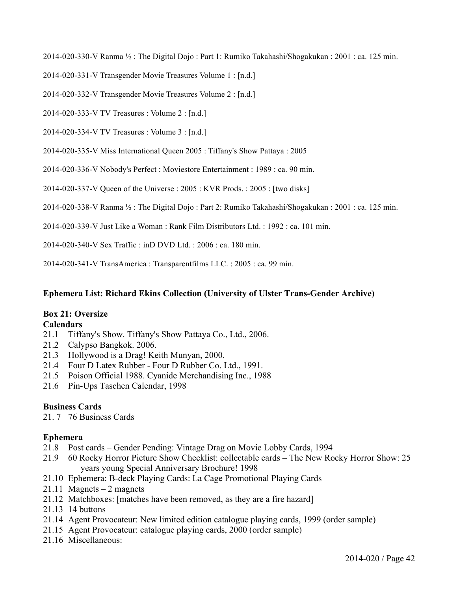2014-020-330-V Ranma ½ : The Digital Dojo : Part 1: Rumiko Takahashi/Shogakukan : 2001 : ca. 125 min.

2014-020-331-V Transgender Movie Treasures Volume 1 : [n.d.]

2014-020-332-V Transgender Movie Treasures Volume 2 : [n.d.]

2014-020-333-V TV Treasures : Volume 2 : [n.d.]

2014-020-334-V TV Treasures : Volume 3 : [n.d.]

2014-020-335-V Miss International Queen 2005 : Tiffany's Show Pattaya : 2005

2014-020-336-V Nobody's Perfect : Moviestore Entertainment : 1989 : ca. 90 min.

2014-020-337-V Queen of the Universe : 2005 : KVR Prods. : 2005 : [two disks]

2014-020-338-V Ranma ½ : The Digital Dojo : Part 2: Rumiko Takahashi/Shogakukan : 2001 : ca. 125 min.

2014-020-339-V Just Like a Woman : Rank Film Distributors Ltd. : 1992 : ca. 101 min.

2014-020-340-V Sex Traffic : inD DVD Ltd. : 2006 : ca. 180 min.

2014-020-341-V TransAmerica : Transparentfilms LLC. : 2005 : ca. 99 min.

#### **Ephemera List: Richard Ekins Collection (University of Ulster Trans-Gender Archive)**

#### **Box 21: Oversize**

#### **Calendars**

- 21.1 Tiffany's Show. Tiffany's Show Pattaya Co., Ltd., 2006.
- 21.2 Calypso Bangkok. 2006.
- 21.3 Hollywood is a Drag! Keith Munyan, 2000.
- 21.4 Four D Latex Rubber Four D Rubber Co. Ltd., 1991.
- 21.5 Poison Official 1988. Cyanide Merchandising Inc., 1988
- 21.6 Pin-Ups Taschen Calendar, 1998

#### **Business Cards**

21. 7 76 Business Cards

#### **Ephemera**

- 21.8 Post cards Gender Pending: Vintage Drag on Movie Lobby Cards, 1994
- 21.9 60 Rocky Horror Picture Show Checklist: collectable cards The New Rocky Horror Show: 25 years young Special Anniversary Brochure! 1998
- 21.10 Ephemera: B-deck Playing Cards: La Cage Promotional Playing Cards
- $21.11$  Magnets 2 magnets
- 21.12 Matchboxes: [matches have been removed, as they are a fire hazard]
- 21.13 14 buttons
- 21.14 Agent Provocateur: New limited edition catalogue playing cards, 1999 (order sample)
- 21.15 Agent Provocateur: catalogue playing cards, 2000 (order sample)
- 21.16 Miscellaneous: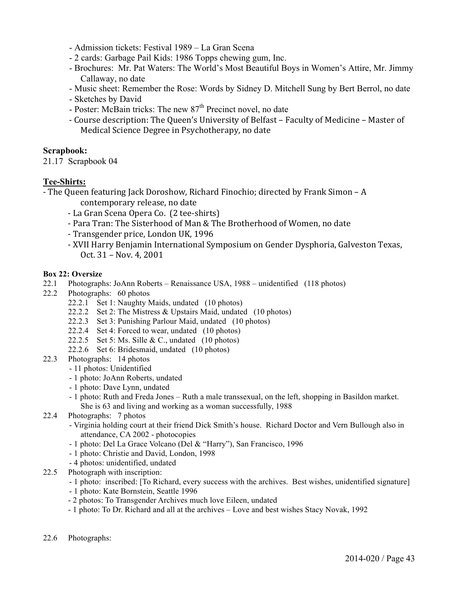- Admission tickets: Festival 1989 La Gran Scena
- 2 cards: Garbage Pail Kids: 1986 Topps chewing gum, Inc.
- Brochures: Mr. Pat Waters: The World's Most Beautiful Boys in Women's Attire, Mr. Jimmy Callaway, no date
- Music sheet: Remember the Rose: Words by Sidney D. Mitchell Sung by Bert Berrol, no date
- Sketches by David
- Poster: McBain tricks: The new 87<sup>th</sup> Precinct novel, no date
- Course description: The Queen's University of Belfast Faculty of Medicine Master of Medical Science Degree in Psychotherapy, no date

#### **Scrapbook:**

21.17 Scrapbook 04

#### **Tee-Shirts:**

- The Queen featuring Jack Doroshow, Richard Finochio; directed by Frank Simon A contemporary release, no date
	- La Gran Scena Opera Co. (2 tee-shirts)
	- Para Tran: The Sisterhood of Man & The Brotherhood of Women, no date
	- Transgender price, London UK, 1996
	- XVII Harry Benjamin International Symposium on Gender Dysphoria, Galveston Texas, Oct. 31 - Nov. 4, 2001

#### **Box 22: Oversize**

- 22.1 Photographs: JoAnn Roberts Renaissance USA, 1988 unidentified (118 photos)
- 22.2 Photographs: 60 photos
	- 22.2.1 Set 1: Naughty Maids, undated (10 photos)
	- 22.2.2 Set 2: The Mistress & Upstairs Maid, undated (10 photos)
	- 22.2.3 Set 3: Punishing Parlour Maid, undated (10 photos)
	- 22.2.4 Set 4: Forced to wear, undated (10 photos)
	- 22.2.5 Set 5: Ms. Sille & C., undated  $(10 \text{ photos})$
	- 22.2.6 Set 6: Bridesmaid, undated (10 photos)
- 22.3 Photographs: 14 photos
	- 11 photos: Unidentified
	- 1 photo: JoAnn Roberts, undated
	- 1 photo: Dave Lynn, undated
	- 1 photo: Ruth and Freda Jones Ruth a male transsexual, on the left, shopping in Basildon market. She is 63 and living and working as a woman successfully, 1988
- 22.4 Photographs: 7 photos
	- Virginia holding court at their friend Dick Smith's house. Richard Doctor and Vern Bullough also in attendance, CA 2002 - photocopies
	- 1 photo: Del La Grace Volcano (Del & "Harry"), San Francisco, 1996
	- 1 photo: Christie and David, London, 1998
	- 4 photos: unidentified, undated
- 22.5 Photograph with inscription:
	- 1 photo: inscribed: [To Richard, every success with the archives. Best wishes, unidentified signature]
	- 1 photo: Kate Bornstein, Seattle 1996
	- 2 photos: To Transgender Archives much love Eileen, undated
	- 1 photo: To Dr. Richard and all at the archives Love and best wishes Stacy Novak, 1992
- 22.6 Photographs: